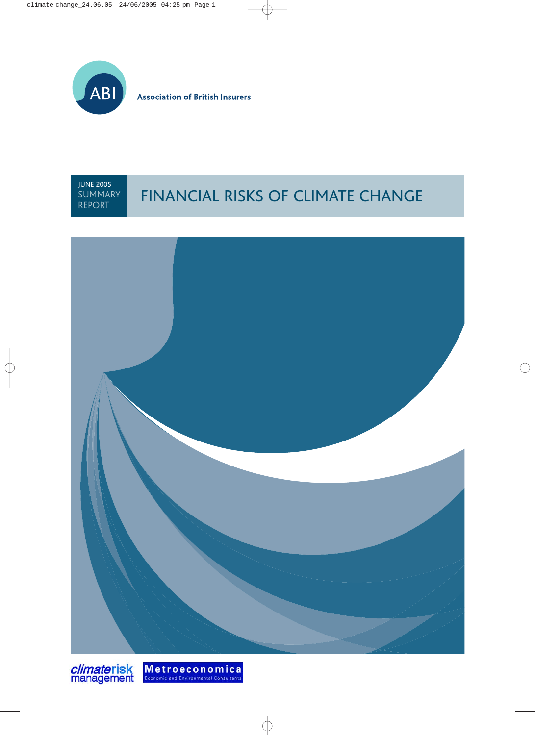







Metroeconomical Economica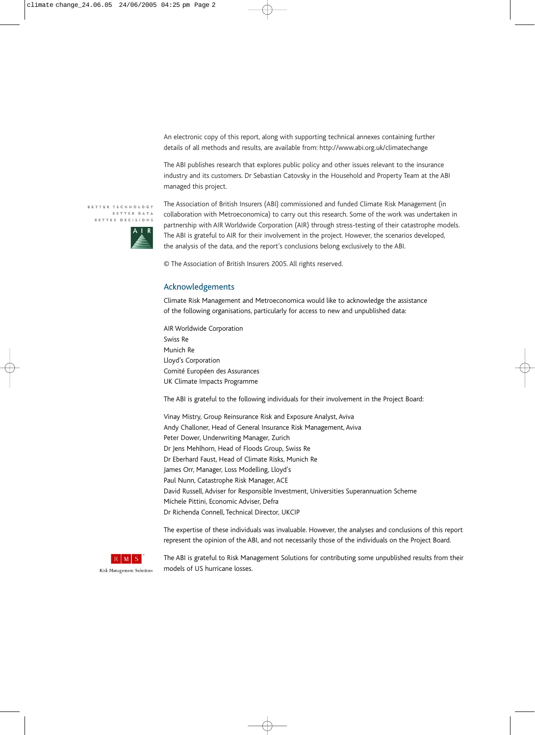An electronic copy of this report, along with supporting technical annexes containing further details of all methods and results, are available from: http://www.abi.org.uk/climatechange

The ABI publishes research that explores public policy and other issues relevant to the insurance industry and its customers. Dr Sebastian Catovsky in the Household and Property Team at the ABI managed this project.

.<br>Better Technology BETTER DATA BETTER DECISIONS



The Association of British Insurers (ABI) commissioned and funded Climate Risk Management (in collaboration with Metroeconomica) to carry out this research. Some of the work was undertaken in partnership with AIR Worldwide Corporation (AIR) through stress-testing of their catastrophe models. The ABI is grateful to AIR for their involvement in the project. However, the scenarios developed, the analysis of the data, and the report's conclusions belong exclusively to the ABI.

© The Association of British Insurers 2005. All rights reserved.

### Acknowledgements

Climate Risk Management and Metroeconomica would like to acknowledge the assistance of the following organisations, particularly for access to new and unpublished data:

AIR Worldwide Corporation Swiss Re Munich Re Lloyd's Corporation Comité Européen des Assurances UK Climate Impacts Programme

The ABI is grateful to the following individuals for their involvement in the Project Board:

Vinay Mistry, Group Reinsurance Risk and Exposure Analyst, Aviva Andy Challoner, Head of General Insurance Risk Management, Aviva Peter Dower, Underwriting Manager, Zurich Dr Jens Mehlhorn, Head of Floods Group, Swiss Re Dr Eberhard Faust, Head of Climate Risks, Munich Re James Orr, Manager, Loss Modelling, Lloyd's Paul Nunn, Catastrophe Risk Manager, ACE David Russell, Adviser for Responsible Investment, Universities Superannuation Scheme Michele Pittini, Economic Adviser, Defra Dr Richenda Connell, Technical Director, UKCIP

The expertise of these individuals was invaluable. However, the analyses and conclusions of this report represent the opinion of the ABI, and not necessarily those of the individuals on the Project Board.



The ABI is grateful to Risk Management Solutions for contributing some unpublished results from their models of US hurricane losses.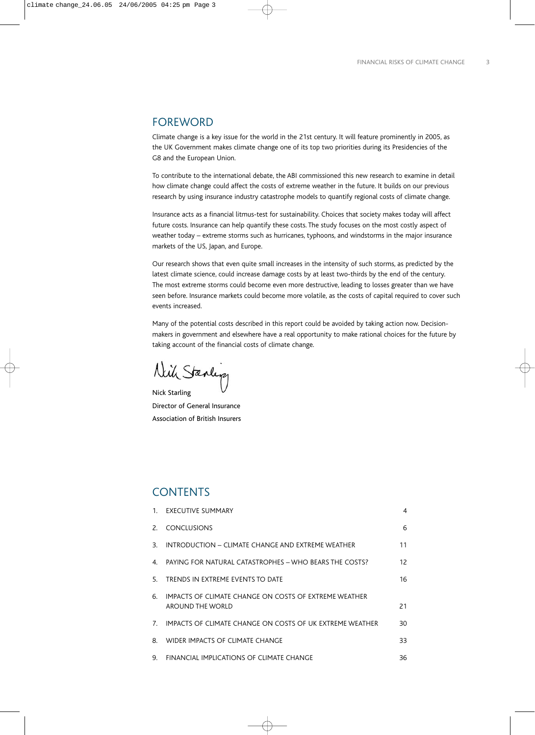# FOREWORD

Climate change is a key issue for the world in the 21st century. It will feature prominently in 2005, as the UK Government makes climate change one of its top two priorities during its Presidencies of the G8 and the European Union.

To contribute to the international debate, the ABI commissioned this new research to examine in detail how climate change could affect the costs of extreme weather in the future. It builds on our previous research by using insurance industry catastrophe models to quantify regional costs of climate change.

Insurance acts as a financial litmus-test for sustainability. Choices that society makes today will affect future costs. Insurance can help quantify these costs. The study focuses on the most costly aspect of weather today – extreme storms such as hurricanes, typhoons, and windstorms in the major insurance markets of the US, Japan, and Europe.

Our research shows that even quite small increases in the intensity of such storms, as predicted by the latest climate science, could increase damage costs by at least two-thirds by the end of the century. The most extreme storms could become even more destructive, leading to losses greater than we have seen before. Insurance markets could become more volatile, as the costs of capital required to cover such events increased.

Many of the potential costs described in this report could be avoided by taking action now. Decisionmakers in government and elsewhere have a real opportunity to make rational choices for the future by taking account of the financial costs of climate change.

Nich Stanling

Nick Starling Director of General Insurance Association of British Insurers

# **CONTENTS**

| 1              | <b>EXECUTIVE SUMMARY</b>                                                  | 4  |
|----------------|---------------------------------------------------------------------------|----|
| 2.             | <b>CONCLUSIONS</b>                                                        | 6  |
| 3.             | INTRODUCTION – CLIMATE CHANGE AND EXTREME WEATHER                         | 11 |
| 4.             | <b>PAYING FOR NATURAL CATASTROPHES – WHO BEARS THE COSTS?</b>             | 12 |
| 5.             | <b>TRENDS IN EXTREME EVENTS TO DATE</b>                                   | 16 |
| 6.             | IMPACTS OF CLIMATE CHANGE ON COSTS OF EXTREME WEATHER<br>AROUND THE WORLD | 21 |
| 7 <sub>1</sub> | IMPACTS OF CLIMATE CHANGE ON COSTS OF LIK EXTREME WEATHER                 | 30 |
| 8.             | WIDER IMPACTS OF CLIMATE CHANGE                                           | 33 |
| 9.             | FINANCIAL IMPLICATIONS OF CLIMATE CHANGE                                  | 36 |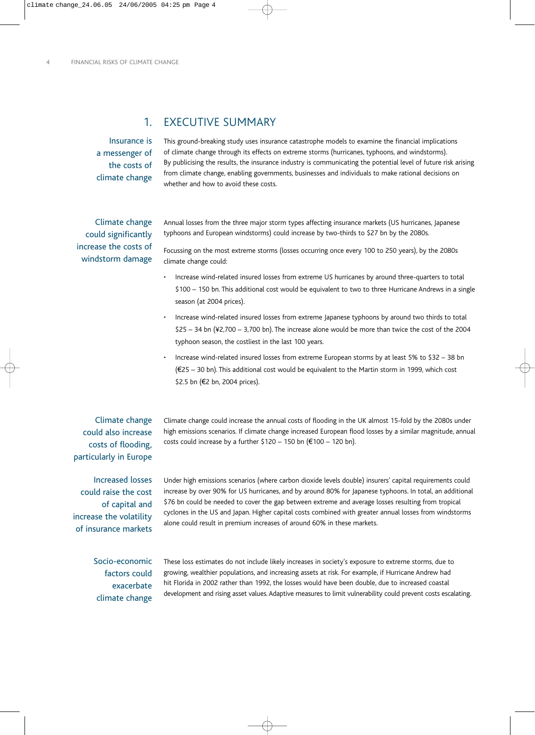#### EXECUTIVE SUMMARY 1.

Insurance is a messenger of the costs of climate change

This ground-breaking study uses insurance catastrophe models to examine the financial implications of climate change through its effects on extreme storms (hurricanes, typhoons, and windstorms). By publicising the results, the insurance industry is communicating the potential level of future risk arising from climate change, enabling governments, businesses and individuals to make rational decisions on whether and how to avoid these costs.

Climate change could significantly increase the costs of windstorm damage

Annual losses from the three major storm types affecting insurance markets (US hurricanes, Japanese typhoons and European windstorms) could increase by two-thirds to \$27 bn by the 2080s.

Focussing on the most extreme storms (losses occurring once every 100 to 250 years), by the 2080s climate change could:

- Increase wind-related insured losses from extreme US hurricanes by around three-quarters to total \$100 – 150 bn. This additional cost would be equivalent to two to three Hurricane Andrews in a single season (at 2004 prices).
- Increase wind-related insured losses from extreme Japanese typhoons by around two thirds to total \$25 – 34 bn (¥2,700 – 3,700 bn). The increase alone would be more than twice the cost of the 2004 typhoon season, the costliest in the last 100 years.
- Increase wind-related insured losses from extreme European storms by at least 5% to \$32 38 bn (€25 – 30 bn). This additional cost would be equivalent to the Martin storm in 1999, which cost \$2.5 bn (€2 bn, 2004 prices).

Climate change could also increase costs of flooding, particularly in Europe Climate change could increase the annual costs of flooding in the UK almost 15-fold by the 2080s under high emissions scenarios. If climate change increased European flood losses by a similar magnitude, annual costs could increase by a further  $$120 - 150$  bn ( $$100 - 120$  bn).

Increased losses could raise the cost of capital and increase the volatility of insurance markets

Under high emissions scenarios (where carbon dioxide levels double) insurers' capital requirements could increase by over 90% for US hurricanes, and by around 80% for Japanese typhoons. In total, an additional \$76 bn could be needed to cover the gap between extreme and average losses resulting from tropical cyclones in the US and Japan. Higher capital costs combined with greater annual losses from windstorms alone could result in premium increases of around 60% in these markets.

Socio-economic factors could exacerbate climate change

These loss estimates do not include likely increases in society's exposure to extreme storms, due to growing, wealthier populations, and increasing assets at risk. For example, if Hurricane Andrew had hit Florida in 2002 rather than 1992, the losses would have been double, due to increased coastal development and rising asset values. Adaptive measures to limit vulnerability could prevent costs escalating.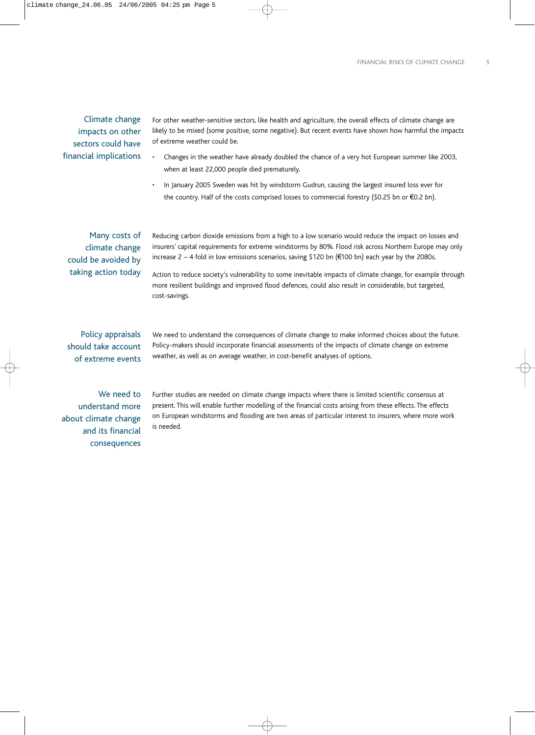Climate change impacts on other sectors could have financial implications For other weather-sensitive sectors, like health and agriculture, the overall effects of climate change are likely to be mixed (some positive, some negative). But recent events have shown how harmful the impacts of extreme weather could be.

- Changes in the weather have already doubled the chance of a very hot European summer like 2003, when at least 22,000 people died prematurely.
- In January 2005 Sweden was hit by windstorm Gudrun, causing the largest insured loss ever for the country. Half of the costs comprised losses to commercial forestry (\$0.25 bn or €0.2 bn).

Many costs of climate change could be avoided by taking action today

Reducing carbon dioxide emissions from a high to a low scenario would reduce the impact on losses and insurers' capital requirements for extreme windstorms by 80%. Flood risk across Northern Europe may only increase 2 – 4 fold in low emissions scenarios, saving \$120 bn (€100 bn) each year by the 2080s.

Action to reduce society's vulnerability to some inevitable impacts of climate change, for example through more resilient buildings and improved flood defences, could also result in considerable, but targeted, cost-savings.

Policy appraisals should take account of extreme events

We need to understand the consequences of climate change to make informed choices about the future. Policy-makers should incorporate financial assessments of the impacts of climate change on extreme weather, as well as on average weather, in cost-benefit analyses of options.

We need to understand more about climate change and its financial consequences

Further studies are needed on climate change impacts where there is limited scientific consensus at present. This will enable further modelling of the financial costs arising from these effects. The effects on European windstorms and flooding are two areas of particular interest to insurers, where more work is needed.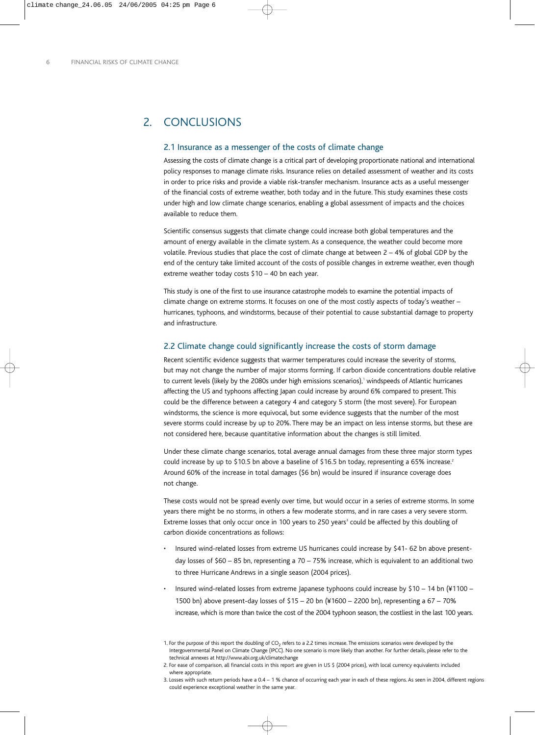#### **CONCLUSIONS** 2.

### 2.1 Insurance as a messenger of the costs of climate change

Assessing the costs of climate change is a critical part of developing proportionate national and international policy responses to manage climate risks. Insurance relies on detailed assessment of weather and its costs in order to price risks and provide a viable risk-transfer mechanism. Insurance acts as a useful messenger of the financial costs of extreme weather, both today and in the future. This study examines these costs under high and low climate change scenarios, enabling a global assessment of impacts and the choices available to reduce them.

Scientific consensus suggests that climate change could increase both global temperatures and the amount of energy available in the climate system. As a consequence, the weather could become more volatile. Previous studies that place the cost of climate change at between 2 – 4% of global GDP by the end of the century take limited account of the costs of possible changes in extreme weather, even though extreme weather today costs \$10 – 40 bn each year.

This study is one of the first to use insurance catastrophe models to examine the potential impacts of climate change on extreme storms. It focuses on one of the most costly aspects of today's weather – hurricanes, typhoons, and windstorms, because of their potential to cause substantial damage to property and infrastructure.

### 2.2 Climate change could significantly increase the costs of storm damage

Recent scientific evidence suggests that warmer temperatures could increase the severity of storms, but may not change the number of major storms forming. If carbon dioxide concentrations double relative to current levels (likely by the 2080s under high emissions scenarios),<sup>1</sup> windspeeds of Atlantic hurricanes affecting the US and typhoons affecting Japan could increase by around 6% compared to present. This could be the difference between a category 4 and category 5 storm (the most severe). For European windstorms, the science is more equivocal, but some evidence suggests that the number of the most severe storms could increase by up to 20%. There may be an impact on less intense storms, but these are not considered here, because quantitative information about the changes is still limited.

Under these climate change scenarios, total average annual damages from these three major storm types could increase by up to \$10.5 bn above a baseline of \$16.5 bn today, representing a 65% increase.<sup>2</sup> Around 60% of the increase in total damages (\$6 bn) would be insured if insurance coverage does not change.

These costs would not be spread evenly over time, but would occur in a series of extreme storms. In some years there might be no storms, in others a few moderate storms, and in rare cases a very severe storm. Extreme losses that only occur once in 100 years to 250 years<sup>3</sup> could be affected by this doubling of carbon dioxide concentrations as follows:

- Insured wind-related losses from extreme US hurricanes could increase by \$41- 62 bn above presentday losses of \$60 – 85 bn, representing a 70 – 75% increase, which is equivalent to an additional two to three Hurricane Andrews in a single season (2004 prices).
- Insured wind-related losses from extreme Japanese typhoons could increase by \$10 14 bn (¥1100 1500 bn) above present-day losses of \$15 – 20 bn (¥1600 – 2200 bn), representing a 67 – 70% increase, which is more than twice the cost of the 2004 typhoon season, the costliest in the last 100 years.

<sup>1.</sup> For the purpose of this report the doubling of  $CO<sub>2</sub>$  refers to a 2.2 times increase. The emissions scenarios were developed by the Intergovernmental Panel on Climate Change (IPCC). No one scenario is more likely than another. For further details, please refer to the technical annexes at http://www.abi.org.uk/climatechange

<sup>2.</sup> For ease of comparison, all financial costs in this report are given in US \$ (2004 prices), with local currency equivalents included where appropriate.

<sup>3.</sup> Losses with such return periods have a 0.4 – 1 % chance of occurring each year in each of these regions. As seen in 2004, different regions could experience exceptional weather in the same year.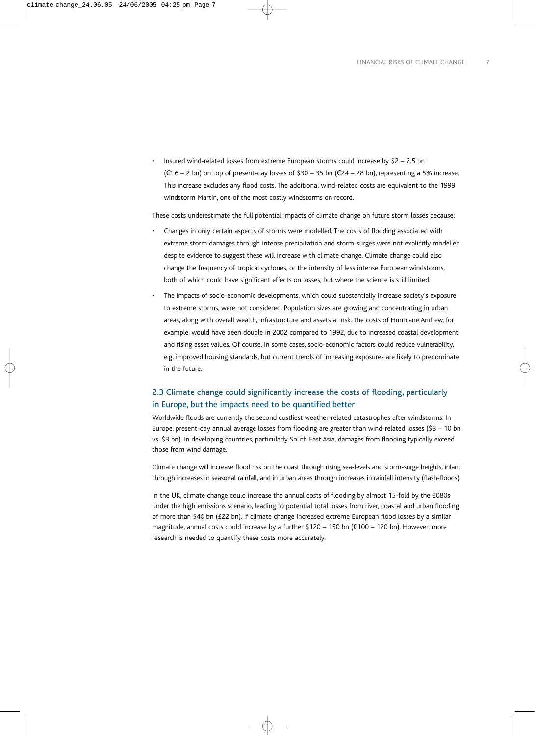• Insured wind-related losses from extreme European storms could increase by \$2 – 2.5 bn (€1.6 – 2 bn) on top of present-day losses of \$30 – 35 bn (€24 – 28 bn), representing a 5% increase. This increase excludes any flood costs. The additional wind-related costs are equivalent to the 1999 windstorm Martin, one of the most costly windstorms on record.

These costs underestimate the full potential impacts of climate change on future storm losses because:

- Changes in only certain aspects of storms were modelled. The costs of flooding associated with extreme storm damages through intense precipitation and storm-surges were not explicitly modelled despite evidence to suggest these will increase with climate change. Climate change could also change the frequency of tropical cyclones, or the intensity of less intense European windstorms, both of which could have significant effects on losses, but where the science is still limited.
- The impacts of socio-economic developments, which could substantially increase society's exposure to extreme storms, were not considered. Population sizes are growing and concentrating in urban areas, along with overall wealth, infrastructure and assets at risk. The costs of Hurricane Andrew, for example, would have been double in 2002 compared to 1992, due to increased coastal development and rising asset values. Of course, in some cases, socio-economic factors could reduce vulnerability, e.g. improved housing standards, but current trends of increasing exposures are likely to predominate in the future.

## 2.3 Climate change could significantly increase the costs of flooding, particularly in Europe, but the impacts need to be quantified better

Worldwide floods are currently the second costliest weather-related catastrophes after windstorms. In Europe, present-day annual average losses from flooding are greater than wind-related losses (\$8 – 10 bn vs. \$3 bn). In developing countries, particularly South East Asia, damages from flooding typically exceed those from wind damage.

Climate change will increase flood risk on the coast through rising sea-levels and storm-surge heights, inland through increases in seasonal rainfall, and in urban areas through increases in rainfall intensity (flash-floods).

In the UK, climate change could increase the annual costs of flooding by almost 15-fold by the 2080s under the high emissions scenario, leading to potential total losses from river, coastal and urban flooding of more than \$40 bn (£22 bn). If climate change increased extreme European flood losses by a similar magnitude, annual costs could increase by a further \$120 – 150 bn (€100 – 120 bn). However, more research is needed to quantify these costs more accurately.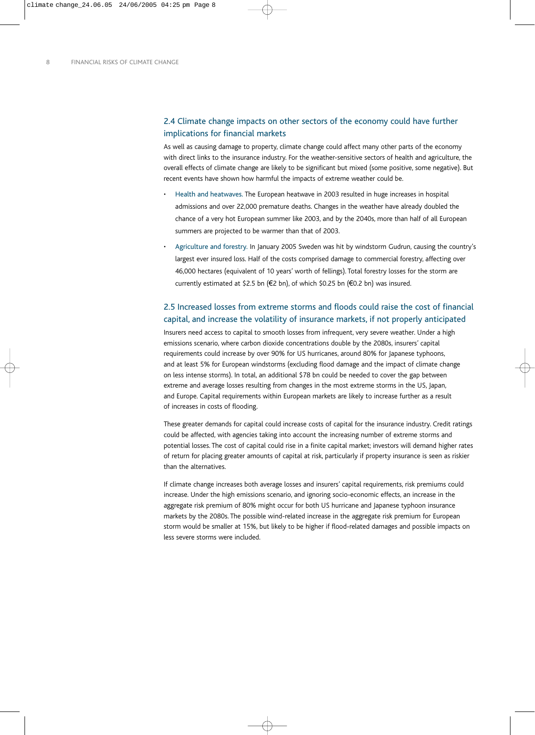### 2.4 Climate change impacts on other sectors of the economy could have further implications for financial markets

As well as causing damage to property, climate change could affect many other parts of the economy with direct links to the insurance industry. For the weather-sensitive sectors of health and agriculture, the overall effects of climate change are likely to be significant but mixed (some positive, some negative). But recent events have shown how harmful the impacts of extreme weather could be.

- Health and heatwaves. The European heatwave in 2003 resulted in huge increases in hospital admissions and over 22,000 premature deaths. Changes in the weather have already doubled the chance of a very hot European summer like 2003, and by the 2040s, more than half of all European summers are projected to be warmer than that of 2003.
- Agriculture and forestry. In January 2005 Sweden was hit by windstorm Gudrun, causing the country's largest ever insured loss. Half of the costs comprised damage to commercial forestry, affecting over 46,000 hectares (equivalent of 10 years' worth of fellings). Total forestry losses for the storm are currently estimated at \$2.5 bn (€2 bn), of which \$0.25 bn (€0.2 bn) was insured.

# 2.5 Increased losses from extreme storms and floods could raise the cost of financial capital, and increase the volatility of insurance markets, if not properly anticipated

Insurers need access to capital to smooth losses from infrequent, very severe weather. Under a high emissions scenario, where carbon dioxide concentrations double by the 2080s, insurers' capital requirements could increase by over 90% for US hurricanes, around 80% for Japanese typhoons, and at least 5% for European windstorms (excluding flood damage and the impact of climate change on less intense storms). In total, an additional \$78 bn could be needed to cover the gap between extreme and average losses resulting from changes in the most extreme storms in the US, Japan, and Europe. Capital requirements within European markets are likely to increase further as a result of increases in costs of flooding.

These greater demands for capital could increase costs of capital for the insurance industry. Credit ratings could be affected, with agencies taking into account the increasing number of extreme storms and potential losses. The cost of capital could rise in a finite capital market; investors will demand higher rates of return for placing greater amounts of capital at risk, particularly if property insurance is seen as riskier than the alternatives.

If climate change increases both average losses and insurers' capital requirements, risk premiums could increase. Under the high emissions scenario, and ignoring socio-economic effects, an increase in the aggregate risk premium of 80% might occur for both US hurricane and Japanese typhoon insurance markets by the 2080s. The possible wind-related increase in the aggregate risk premium for European storm would be smaller at 15%, but likely to be higher if flood-related damages and possible impacts on less severe storms were included.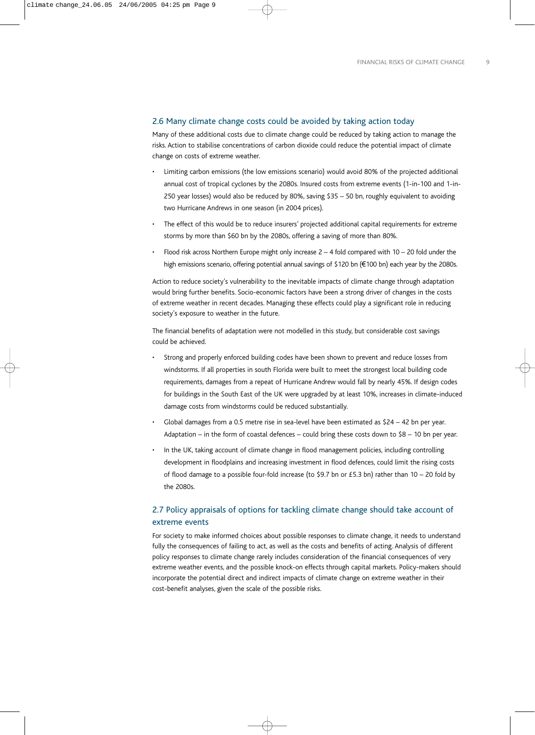### 2.6 Many climate change costs could be avoided by taking action today

Many of these additional costs due to climate change could be reduced by taking action to manage the risks. Action to stabilise concentrations of carbon dioxide could reduce the potential impact of climate change on costs of extreme weather.

- Limiting carbon emissions (the low emissions scenario) would avoid 80% of the projected additional annual cost of tropical cyclones by the 2080s. Insured costs from extreme events (1-in-100 and 1-in-250 year losses) would also be reduced by 80%, saving \$35 – 50 bn, roughly equivalent to avoiding two Hurricane Andrews in one season (in 2004 prices).
- The effect of this would be to reduce insurers' projected additional capital requirements for extreme storms by more than \$60 bn by the 2080s, offering a saving of more than 80%.
- Flood risk across Northern Europe might only increase  $2 4$  fold compared with  $10 20$  fold under the high emissions scenario, offering potential annual savings of \$120 bn (€100 bn) each year by the 2080s.

Action to reduce society's vulnerability to the inevitable impacts of climate change through adaptation would bring further benefits. Socio-economic factors have been a strong driver of changes in the costs of extreme weather in recent decades. Managing these effects could play a significant role in reducing society's exposure to weather in the future.

The financial benefits of adaptation were not modelled in this study, but considerable cost savings could be achieved.

- Strong and properly enforced building codes have been shown to prevent and reduce losses from windstorms. If all properties in south Florida were built to meet the strongest local building code requirements, damages from a repeat of Hurricane Andrew would fall by nearly 45%. If design codes for buildings in the South East of the UK were upgraded by at least 10%, increases in climate-induced damage costs from windstorms could be reduced substantially.
- Global damages from a 0.5 metre rise in sea-level have been estimated as \$24 42 bn per year. Adaptation – in the form of coastal defences – could bring these costs down to \$8 – 10 bn per year.
- In the UK, taking account of climate change in flood management policies, including controlling development in floodplains and increasing investment in flood defences, could limit the rising costs of flood damage to a possible four-fold increase (to \$9.7 bn or £5.3 bn) rather than 10 – 20 fold by the 2080s.

## 2.7 Policy appraisals of options for tackling climate change should take account of extreme events

For society to make informed choices about possible responses to climate change, it needs to understand fully the consequences of failing to act, as well as the costs and benefits of acting. Analysis of different policy responses to climate change rarely includes consideration of the financial consequences of very extreme weather events, and the possible knock-on effects through capital markets. Policy-makers should incorporate the potential direct and indirect impacts of climate change on extreme weather in their cost-benefit analyses, given the scale of the possible risks.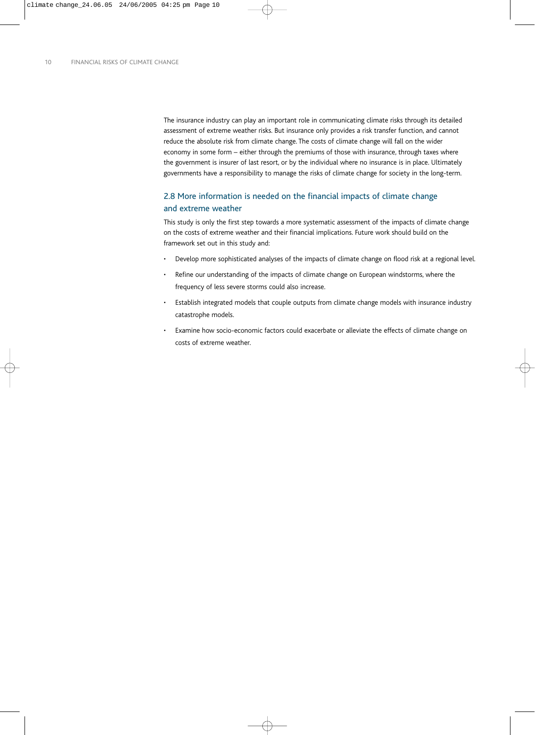The insurance industry can play an important role in communicating climate risks through its detailed assessment of extreme weather risks. But insurance only provides a risk transfer function, and cannot reduce the absolute risk from climate change. The costs of climate change will fall on the wider economy in some form – either through the premiums of those with insurance, through taxes where the government is insurer of last resort, or by the individual where no insurance is in place. Ultimately governments have a responsibility to manage the risks of climate change for society in the long-term.

### 2.8 More information is needed on the financial impacts of climate change and extreme weather

This study is only the first step towards a more systematic assessment of the impacts of climate change on the costs of extreme weather and their financial implications. Future work should build on the framework set out in this study and:

- Develop more sophisticated analyses of the impacts of climate change on flood risk at a regional level.
- Refine our understanding of the impacts of climate change on European windstorms, where the frequency of less severe storms could also increase.
- Establish integrated models that couple outputs from climate change models with insurance industry catastrophe models.
- Examine how socio-economic factors could exacerbate or alleviate the effects of climate change on costs of extreme weather.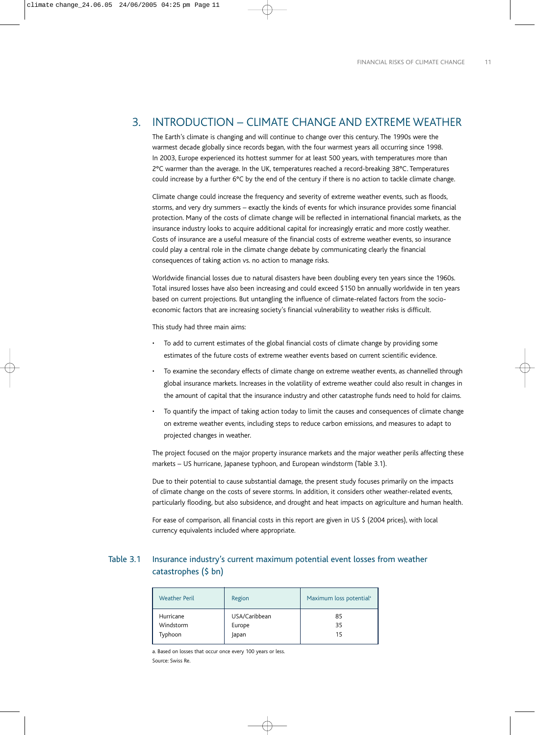#### INTRODUCTION – CLIMATE CHANGE AND EXTREME WEATHER 3.

The Earth's climate is changing and will continue to change over this century. The 1990s were the warmest decade globally since records began, with the four warmest years all occurring since 1998. In 2003, Europe experienced its hottest summer for at least 500 years, with temperatures more than 2°C warmer than the average. In the UK, temperatures reached a record-breaking 38°C. Temperatures could increase by a further 6°C by the end of the century if there is no action to tackle climate change.

Climate change could increase the frequency and severity of extreme weather events, such as floods, storms, and very dry summers – exactly the kinds of events for which insurance provides some financial protection. Many of the costs of climate change will be reflected in international financial markets, as the insurance industry looks to acquire additional capital for increasingly erratic and more costly weather. Costs of insurance are a useful measure of the financial costs of extreme weather events, so insurance could play a central role in the climate change debate by communicating clearly the financial consequences of taking action vs. no action to manage risks.

Worldwide financial losses due to natural disasters have been doubling every ten years since the 1960s. Total insured losses have also been increasing and could exceed \$150 bn annually worldwide in ten years based on current projections. But untangling the influence of climate-related factors from the socioeconomic factors that are increasing society's financial vulnerability to weather risks is difficult.

This study had three main aims:

- To add to current estimates of the global financial costs of climate change by providing some estimates of the future costs of extreme weather events based on current scientific evidence.
- To examine the secondary effects of climate change on extreme weather events, as channelled through global insurance markets. Increases in the volatility of extreme weather could also result in changes in the amount of capital that the insurance industry and other catastrophe funds need to hold for claims.
- To quantify the impact of taking action today to limit the causes and consequences of climate change on extreme weather events, including steps to reduce carbon emissions, and measures to adapt to projected changes in weather.

The project focused on the major property insurance markets and the major weather perils affecting these markets – US hurricane, Japanese typhoon, and European windstorm (Table 3.1).

Due to their potential to cause substantial damage, the present study focuses primarily on the impacts of climate change on the costs of severe storms. In addition, it considers other weather-related events, particularly flooding, but also subsidence, and drought and heat impacts on agriculture and human health.

For ease of comparison, all financial costs in this report are given in US \$ (2004 prices), with local currency equivalents included where appropriate.

# Table 3.1 Insurance industry's current maximum potential event losses from weather catastrophes (\$ bn)

| <b>Weather Peril</b> | Region        | Maximum loss potential <sup>a</sup> |
|----------------------|---------------|-------------------------------------|
| Hurricane            | USA/Caribbean | 85                                  |
| Windstorm            | Europe        | 35                                  |
| Typhoon              | Japan         | 15                                  |

a. Based on losses that occur once every 100 years or less. Source: Swiss Re.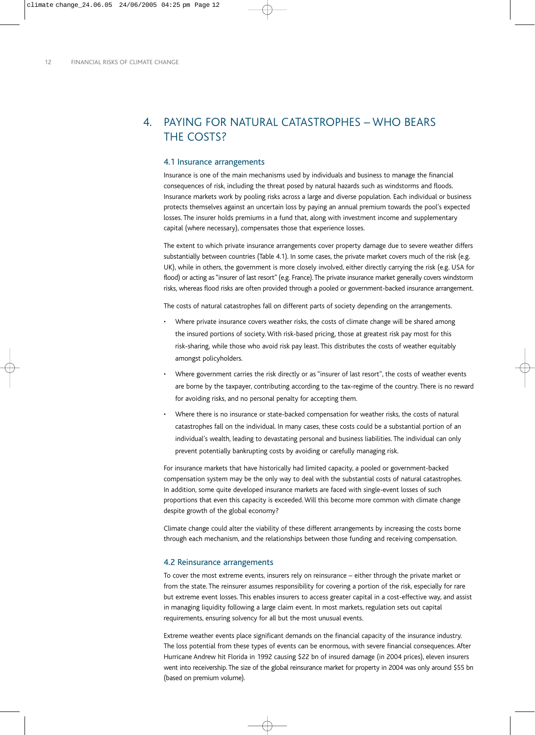### PAYING FOR NATURAL CATASTROPHES – WHO BEARS THE COSTS? 4.

### 4.1 Insurance arrangements

Insurance is one of the main mechanisms used by individuals and business to manage the financial consequences of risk, including the threat posed by natural hazards such as windstorms and floods. Insurance markets work by pooling risks across a large and diverse population. Each individual or business protects themselves against an uncertain loss by paying an annual premium towards the pool's expected losses. The insurer holds premiums in a fund that, along with investment income and supplementary capital (where necessary), compensates those that experience losses.

The extent to which private insurance arrangements cover property damage due to severe weather differs substantially between countries (Table 4.1). In some cases, the private market covers much of the risk (e.g. UK), while in others, the government is more closely involved, either directly carrying the risk (e.g. USA for flood) or acting as "insurer of last resort" (e.g. France). The private insurance market generally covers windstorm risks, whereas flood risks are often provided through a pooled or government-backed insurance arrangement.

The costs of natural catastrophes fall on different parts of society depending on the arrangements.

- Where private insurance covers weather risks, the costs of climate change will be shared among the insured portions of society. With risk-based pricing, those at greatest risk pay most for this risk-sharing, while those who avoid risk pay least. This distributes the costs of weather equitably amongst policyholders.
- Where government carries the risk directly or as "insurer of last resort", the costs of weather events are borne by the taxpayer, contributing according to the tax-regime of the country. There is no reward for avoiding risks, and no personal penalty for accepting them.
- Where there is no insurance or state-backed compensation for weather risks, the costs of natural catastrophes fall on the individual. In many cases, these costs could be a substantial portion of an individual's wealth, leading to devastating personal and business liabilities. The individual can only prevent potentially bankrupting costs by avoiding or carefully managing risk.

For insurance markets that have historically had limited capacity, a pooled or government-backed compensation system may be the only way to deal with the substantial costs of natural catastrophes. In addition, some quite developed insurance markets are faced with single-event losses of such proportions that even this capacity is exceeded. Will this become more common with climate change despite growth of the global economy?

Climate change could alter the viability of these different arrangements by increasing the costs borne through each mechanism, and the relationships between those funding and receiving compensation.

## 4.2 Reinsurance arrangements

To cover the most extreme events, insurers rely on reinsurance – either through the private market or from the state. The reinsurer assumes responsibility for covering a portion of the risk, especially for rare but extreme event losses. This enables insurers to access greater capital in a cost-effective way, and assist in managing liquidity following a large claim event. In most markets, regulation sets out capital requirements, ensuring solvency for all but the most unusual events.

Extreme weather events place significant demands on the financial capacity of the insurance industry. The loss potential from these types of events can be enormous, with severe financial consequences. After Hurricane Andrew hit Florida in 1992 causing \$22 bn of insured damage (in 2004 prices), eleven insurers went into receivership. The size of the global reinsurance market for property in 2004 was only around \$55 bn (based on premium volume).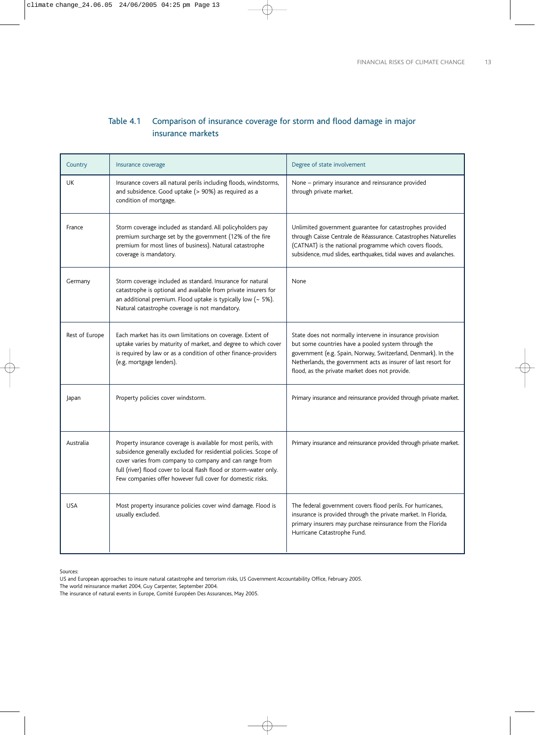# Table 4.1 Comparison of insurance coverage for storm and flood damage in major insurance markets

| Country        | Insurance coverage                                                                                                                                                                                                                                                                                                                | Degree of state involvement                                                                                                                                                                                                                                                                          |
|----------------|-----------------------------------------------------------------------------------------------------------------------------------------------------------------------------------------------------------------------------------------------------------------------------------------------------------------------------------|------------------------------------------------------------------------------------------------------------------------------------------------------------------------------------------------------------------------------------------------------------------------------------------------------|
| UK             | Insurance covers all natural perils including floods, windstorms,<br>and subsidence. Good uptake (> 90%) as required as a<br>condition of mortgage.                                                                                                                                                                               | None – primary insurance and reinsurance provided<br>through private market.                                                                                                                                                                                                                         |
| France         | Storm coverage included as standard. All policyholders pay<br>premium surcharge set by the government (12% of the fire<br>premium for most lines of business). Natural catastrophe<br>coverage is mandatory.                                                                                                                      | Unlimited government guarantee for catastrophes provided<br>through Caisse Centrale de Réassurance. Catastrophes Naturelles<br>(CATNAT) is the national programme which covers floods,<br>subsidence, mud slides, earthquakes, tidal waves and avalanches.                                           |
| Germany        | Storm coverage included as standard. Insurance for natural<br>catastrophe is optional and available from private insurers for<br>an additional premium. Flood uptake is typically low ( $\sim$ 5%).<br>Natural catastrophe coverage is not mandatory.                                                                             | None                                                                                                                                                                                                                                                                                                 |
| Rest of Europe | Each market has its own limitations on coverage. Extent of<br>uptake varies by maturity of market, and degree to which cover<br>is required by law or as a condition of other finance-providers<br>(e.g. mortgage lenders).                                                                                                       | State does not normally intervene in insurance provision<br>but some countries have a pooled system through the<br>government (e.g. Spain, Norway, Switzerland, Denmark). In the<br>Netherlands, the government acts as insurer of last resort for<br>flood, as the private market does not provide. |
| Japan          | Property policies cover windstorm.                                                                                                                                                                                                                                                                                                | Primary insurance and reinsurance provided through private market.                                                                                                                                                                                                                                   |
| Australia      | Property insurance coverage is available for most perils, with<br>subsidence generally excluded for residential policies. Scope of<br>cover varies from company to company and can range from<br>full (river) flood cover to local flash flood or storm-water only.<br>Few companies offer however full cover for domestic risks. | Primary insurance and reinsurance provided through private market.                                                                                                                                                                                                                                   |
| <b>USA</b>     | Most property insurance policies cover wind damage. Flood is<br>usually excluded.                                                                                                                                                                                                                                                 | The federal government covers flood perils. For hurricanes,<br>insurance is provided through the private market. In Florida,<br>primary insurers may purchase reinsurance from the Florida<br>Hurricane Catastrophe Fund.                                                                            |

Sources:

US and European approaches to insure natural catastrophe and terrorism risks, US Government Accountability Office, February 2005.

The world reinsurance market 2004, Guy Carpenter, September 2004.

The insurance of natural events in Europe, Comité Européen Des Assurances, May 2005.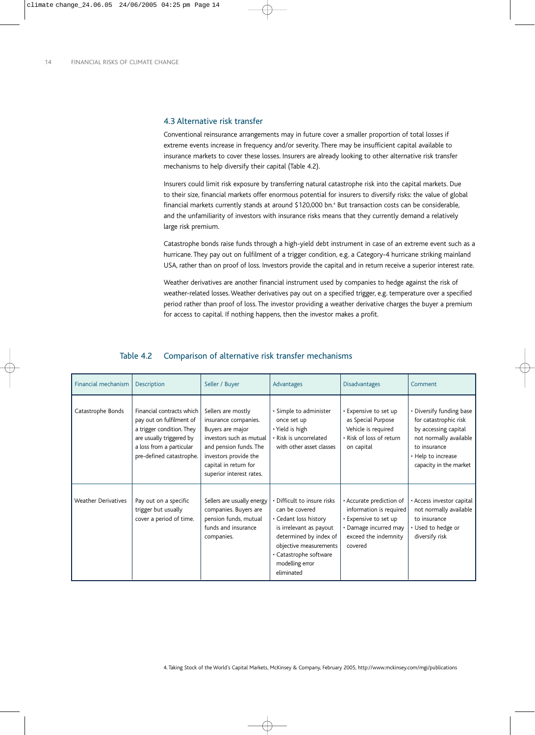### 4.3 Alternative risk transfer

Conventional reinsurance arrangements may in future cover a smaller proportion of total losses if extreme events increase in frequency and/or severity. There may be insufficient capital available to insurance markets to cover these losses. Insurers are already looking to other alternative risk transfer mechanisms to help diversify their capital (Table 4.2).

Insurers could limit risk exposure by transferring natural catastrophe risk into the capital markets. Due to their size, financial markets offer enormous potential for insurers to diversify risks: the value of global financial markets currently stands at around \$120,000 bn.<sup>4</sup> But transaction costs can be considerable, and the unfamiliarity of investors with insurance risks means that they currently demand a relatively large risk premium.

Catastrophe bonds raise funds through a high-yield debt instrument in case of an extreme event such as a hurricane. They pay out on fulfilment of a trigger condition, e.g. a Category-4 hurricane striking mainland USA, rather than on proof of loss. Investors provide the capital and in return receive a superior interest rate.

Weather derivatives are another financial instrument used by companies to hedge against the risk of weather-related losses. Weather derivatives pay out on a specified trigger, e.g. temperature over a specified period rather than proof of loss. The investor providing a weather derivative charges the buyer a premium for access to capital. If nothing happens, then the investor makes a profit.

| Financial mechanism        | Description                                                                                                                                                            | Seller / Buyer                                                                                                                                                                                     | Advantages                                                                                                                                                                                                       | <b>Disadvantages</b>                                                                                                                     | <b>Comment</b>                                                                                                                                                      |
|----------------------------|------------------------------------------------------------------------------------------------------------------------------------------------------------------------|----------------------------------------------------------------------------------------------------------------------------------------------------------------------------------------------------|------------------------------------------------------------------------------------------------------------------------------------------------------------------------------------------------------------------|------------------------------------------------------------------------------------------------------------------------------------------|---------------------------------------------------------------------------------------------------------------------------------------------------------------------|
| Catastrophe Bonds          | Financial contracts which<br>pay out on fulfilment of<br>a trigger condition. They<br>are usually triggered by<br>a loss from a particular<br>pre-defined catastrophe. | Sellers are mostly<br>insurance companies.<br>Buyers are major<br>investors such as mutual<br>and pension funds. The<br>investors provide the<br>capital in return for<br>superior interest rates. | · Simple to administer<br>once set up<br>· Yield is high<br>· Risk is uncorrelated<br>with other asset classes                                                                                                   | • Expensive to set up<br>as Special Purpose<br>Vehicle is required<br>. Risk of loss of return<br>on capital                             | • Diversify funding base<br>for catastrophic risk<br>by accessing capital<br>not normally available<br>to insurance<br>• Help to increase<br>capacity in the market |
| <b>Weather Derivatives</b> | Pay out on a specific<br>trigger but usually<br>cover a period of time.                                                                                                | Sellers are usually energy<br>companies. Buyers are<br>pension funds, mutual<br>funds and insurance<br>companies.                                                                                  | • Difficult to insure risks<br>can be covered<br>• Cedant loss history<br>is irrelevant as payout<br>determined by index of<br>objective measurements<br>· Catastrophe software<br>modelling error<br>eliminated | · Accurate prediction of<br>information is required<br>· Expensive to set up<br>• Damage incurred may<br>exceed the indemnity<br>covered | · Access investor capital<br>not normally available<br>to insurance<br>• Used to hedge or<br>diversify risk                                                         |

### Table 4.2 Comparison of alternative risk transfer mechanisms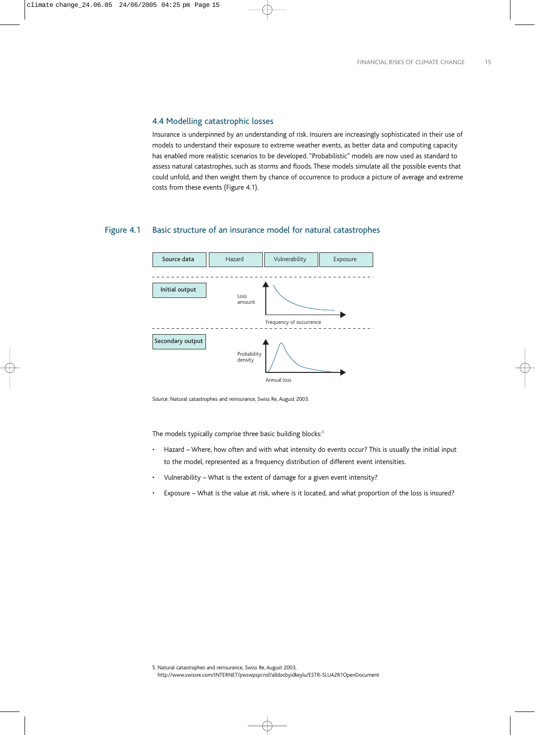### 4.4 Modelling catastrophic losses

Insurance is underpinned by an understanding of risk. Insurers are increasingly sophisticated in their use of models to understand their exposure to extreme weather events, as better data and computing capacity has enabled more realistic scenarios to be developed. "Probabilistic" models are now used as standard to assess natural catastrophes, such as storms and floods. These models simulate all the possible events that could unfold, and then weight them by chance of occurrence to produce a picture of average and extreme costs from these events (Figure 4.1).

### Figure 4.1 Basic structure of an insurance model for natural catastrophes



Source: Natural catastrophes and reinsurance, Swiss Re, August 2003.

The models typically comprise three basic building blocks:<sup>5</sup>

- Hazard Where, how often and with what intensity do events occur? This is usually the initial input to the model, represented as a frequency distribution of different event intensities.
- Vulnerability What is the extent of damage for a given event intensity?
- Exposure What is the value at risk, where is it located, and what proportion of the loss is insured?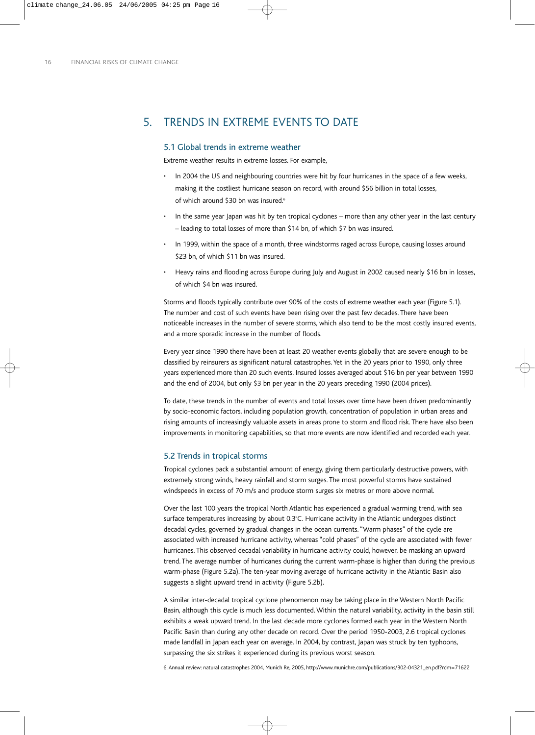#### TRENDS IN EXTREME EVENTS TO DATE 5.

#### 5.1 Global trends in extreme weather

Extreme weather results in extreme losses. For example,

- In 2004 the US and neighbouring countries were hit by four hurricanes in the space of a few weeks, making it the costliest hurricane season on record, with around \$56 billion in total losses, of which around \$30 bn was insured.<sup>6</sup>
- In the same year Japan was hit by ten tropical cyclones more than any other year in the last century – leading to total losses of more than \$14 bn, of which \$7 bn was insured.
- In 1999, within the space of a month, three windstorms raged across Europe, causing losses around \$23 bn, of which \$11 bn was insured.
- Heavy rains and flooding across Europe during July and August in 2002 caused nearly \$16 bn in losses, of which \$4 bn was insured.

Storms and floods typically contribute over 90% of the costs of extreme weather each year (Figure 5.1). The number and cost of such events have been rising over the past few decades. There have been noticeable increases in the number of severe storms, which also tend to be the most costly insured events, and a more sporadic increase in the number of floods.

Every year since 1990 there have been at least 20 weather events globally that are severe enough to be classified by reinsurers as significant natural catastrophes. Yet in the 20 years prior to 1990, only three years experienced more than 20 such events. Insured losses averaged about \$16 bn per year between 1990 and the end of 2004, but only \$3 bn per year in the 20 years preceding 1990 (2004 prices).

To date, these trends in the number of events and total losses over time have been driven predominantly by socio-economic factors, including population growth, concentration of population in urban areas and rising amounts of increasingly valuable assets in areas prone to storm and flood risk. There have also been improvements in monitoring capabilities, so that more events are now identified and recorded each year.

#### 5.2 Trends in tropical storms

Tropical cyclones pack a substantial amount of energy, giving them particularly destructive powers, with extremely strong winds, heavy rainfall and storm surges. The most powerful storms have sustained windspeeds in excess of 70 m/s and produce storm surges six metres or more above normal.

Over the last 100 years the tropical North Atlantic has experienced a gradual warming trend, with sea surface temperatures increasing by about 0.3°C. Hurricane activity in the Atlantic undergoes distinct decadal cycles, governed by gradual changes in the ocean currents. "Warm phases" of the cycle are associated with increased hurricane activity, whereas "cold phases" of the cycle are associated with fewer hurricanes. This observed decadal variability in hurricane activity could, however, be masking an upward trend. The average number of hurricanes during the current warm-phase is higher than during the previous warm-phase (Figure 5.2a). The ten-year moving average of hurricane activity in the Atlantic Basin also suggests a slight upward trend in activity (Figure 5.2b).

A similar inter-decadal tropical cyclone phenomenon may be taking place in the Western North Pacific Basin, although this cycle is much less documented. Within the natural variability, activity in the basin still exhibits a weak upward trend. In the last decade more cyclones formed each year in the Western North Pacific Basin than during any other decade on record. Over the period 1950-2003, 2.6 tropical cyclones made landfall in Japan each year on average. In 2004, by contrast, Japan was struck by ten typhoons, surpassing the six strikes it experienced during its previous worst season.

6. Annual review: natural catastrophes 2004, Munich Re, 2005, http://www.munichre.com/publications/302-04321\_en.pdf?rdm=71622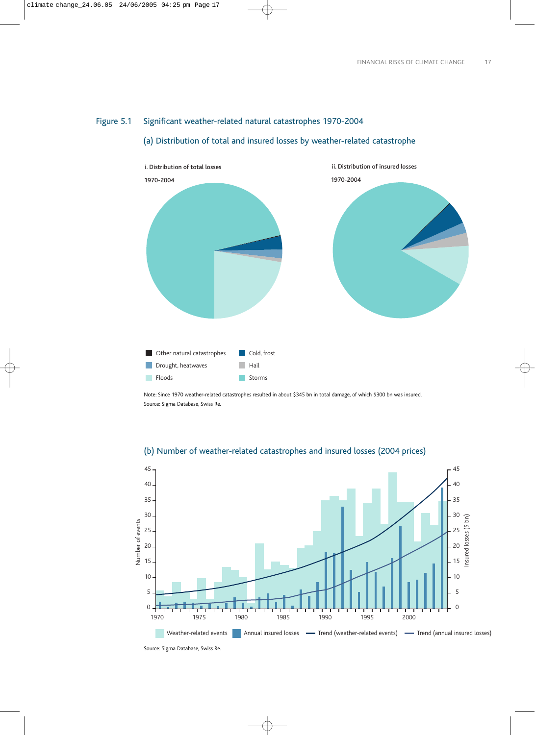

### Figure 5.1 Significant weather-related natural catastrophes 1970-2004



Note: Since 1970 weather-related catastrophes resulted in about \$345 bn in total damage, of which \$300 bn was insured. Source: Sigma Database, Swiss Re.



### (b) Number of weather-related catastrophes and insured losses (2004 prices)

Source: Sigma Database, Swiss Re.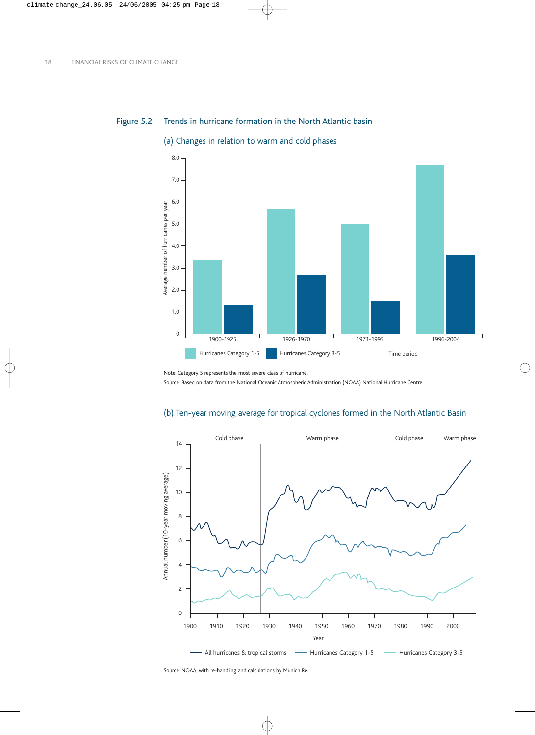

### Figure 5.2 Trends in hurricane formation in the North Atlantic basin

(a) Changes in relation to warm and cold phases

Note: Category 5 represents the most severe class of hurricane. Source: Based on data from the National Oceanic Atmospheric Administration (NOAA) National Hurricane Centre.

### (b) Ten-year moving average for tropical cyclones formed in the North Atlantic Basin



Source: NOAA, with re-handling and calculations by Munich Re.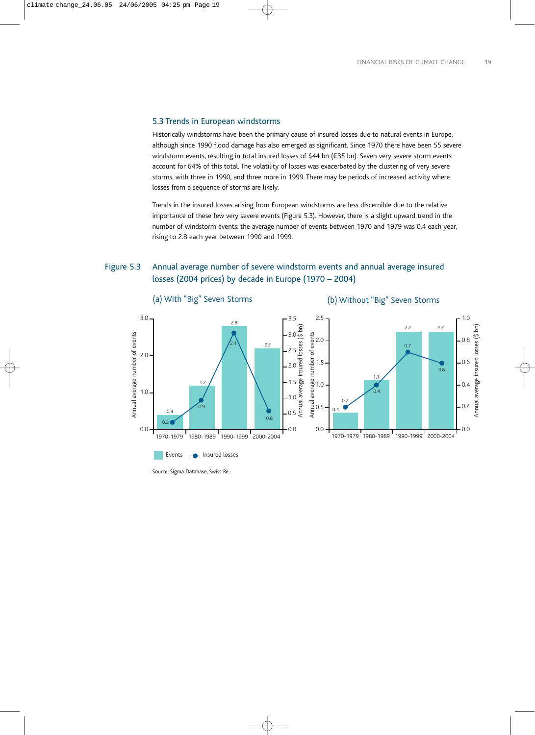### 5.3 Trends in European windstorms

Historically windstorms have been the primary cause of insured losses due to natural events in Europe, although since 1990 flood damage has also emerged as significant. Since 1970 there have been 55 severe windstorm events, resulting in total insured losses of \$44 bn (€35 bn). Seven very severe storm events account for 64% of this total. The volatility of losses was exacerbated by the clustering of very severe storms, with three in 1990, and three more in 1999. There may be periods of increased activity where losses from a sequence of storms are likely.

Trends in the insured losses arising from European windstorms are less discernible due to the relative importance of these few very severe events (Figure 5.3). However, there is a slight upward trend in the number of windstorm events: the average number of events between 1970 and 1979 was 0.4 each year, rising to 2.8 each year between 1990 and 1999.

# Figure 5.3 Annual average number of severe windstorm events and annual average insured losses (2004 prices) by decade in Europe (1970 – 2004)

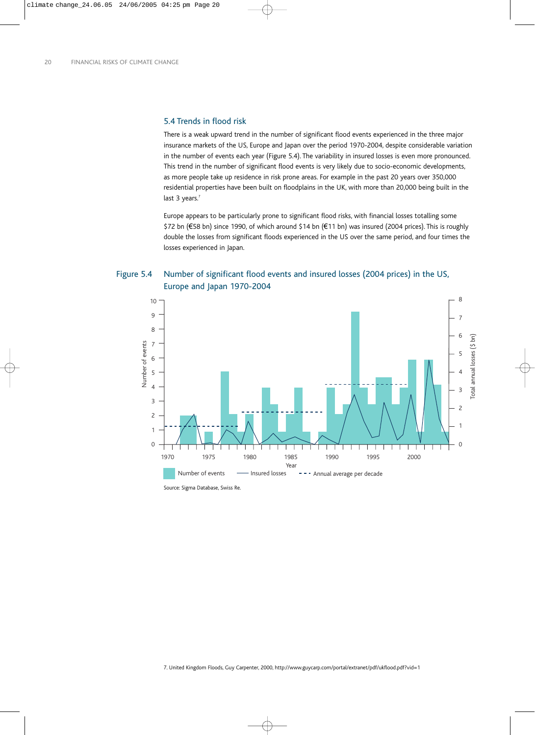### 5.4 Trends in flood risk

There is a weak upward trend in the number of significant flood events experienced in the three major insurance markets of the US, Europe and Japan over the period 1970-2004, despite considerable variation in the number of events each year (Figure 5.4). The variability in insured losses is even more pronounced. This trend in the number of significant flood events is very likely due to socio-economic developments, as more people take up residence in risk prone areas. For example in the past 20 years over 350,000 residential properties have been built on floodplains in the UK, with more than 20,000 being built in the last 3 years.<sup>7</sup>

Europe appears to be particularly prone to significant flood risks, with financial losses totalling some \$72 bn (€58 bn) since 1990, of which around \$14 bn (€11 bn) was insured (2004 prices). This is roughly double the losses from significant floods experienced in the US over the same period, and four times the losses experienced in Japan.

# Figure 5.4 Number of significant flood events and insured losses (2004 prices) in the US, Europe and Japan 1970-2004



7. United Kingdom Floods, Guy Carpenter, 2000, http://www.guycarp.com/portal/extranet/pdf/ukflood.pdf?vid=1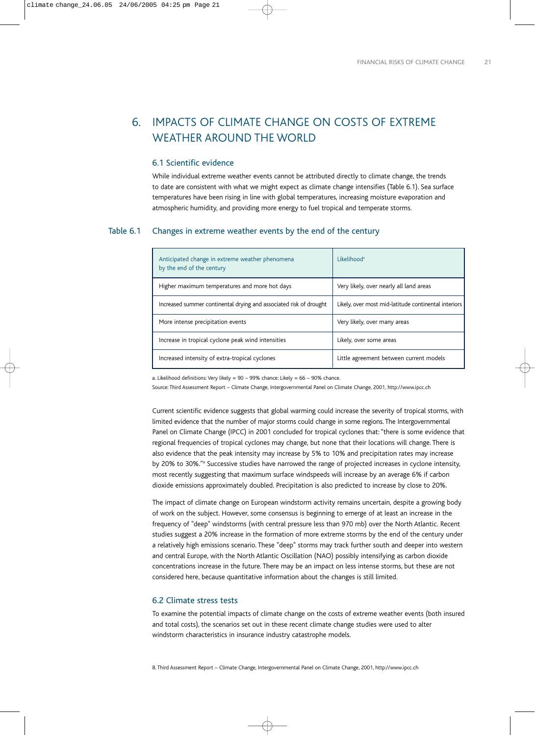### IMPACTS OF CLIMATE CHANGE ON COSTS OF EXTREME WEATHER AROUND THE WORLD 6.

### 6.1 Scientific evidence

While individual extreme weather events cannot be attributed directly to climate change, the trends to date are consistent with what we might expect as climate change intensifies (Table 6.1). Sea surface temperatures have been rising in line with global temperatures, increasing moisture evaporation and atmospheric humidity, and providing more energy to fuel tropical and temperate storms.

### Table 6.1 Changes in extreme weather events by the end of the century

| Anticipated change in extreme weather phenomena<br>by the end of the century | Likelihood <sup>a</sup>                              |
|------------------------------------------------------------------------------|------------------------------------------------------|
| Higher maximum temperatures and more hot days                                | Very likely, over nearly all land areas              |
| Increased summer continental drying and associated risk of drought           | Likely, over most mid-latitude continental interiors |
| More intense precipitation events                                            | Very likely, over many areas                         |
| Increase in tropical cyclone peak wind intensities                           | Likely, over some areas                              |
| Increased intensity of extra-tropical cyclones                               | Little agreement between current models              |

a. Likelihood definitions: Very likely =  $90 - 99%$  chance; Likely =  $66 - 90%$  chance.

Source: Third Assessment Report – Climate Change, Intergovernmental Panel on Climate Change, 2001, http://www.ipcc.ch

Current scientific evidence suggests that global warming could increase the severity of tropical storms, with limited evidence that the number of major storms could change in some regions. The Intergovernmental Panel on Climate Change (IPCC) in 2001 concluded for tropical cyclones that: "there is some evidence that regional frequencies of tropical cyclones may change, but none that their locations will change. There is also evidence that the peak intensity may increase by 5% to 10% and precipitation rates may increase by 20% to 30%."<sup>8</sup> Successive studies have narrowed the range of projected increases in cyclone intensity, most recently suggesting that maximum surface windspeeds will increase by an average 6% if carbon dioxide emissions approximately doubled. Precipitation is also predicted to increase by close to 20%.

The impact of climate change on European windstorm activity remains uncertain, despite a growing body of work on the subject. However, some consensus is beginning to emerge of at least an increase in the frequency of "deep" windstorms (with central pressure less than 970 mb) over the North Atlantic. Recent studies suggest a 20% increase in the formation of more extreme storms by the end of the century under a relatively high emissions scenario. These "deep" storms may track further south and deeper into western and central Europe, with the North Atlantic Oscillation (NAO) possibly intensifying as carbon dioxide concentrations increase in the future. There may be an impact on less intense storms, but these are not considered here, because quantitative information about the changes is still limited.

### 6.2 Climate stress tests

To examine the potential impacts of climate change on the costs of extreme weather events (both insured and total costs), the scenarios set out in these recent climate change studies were used to alter windstorm characteristics in insurance industry catastrophe models.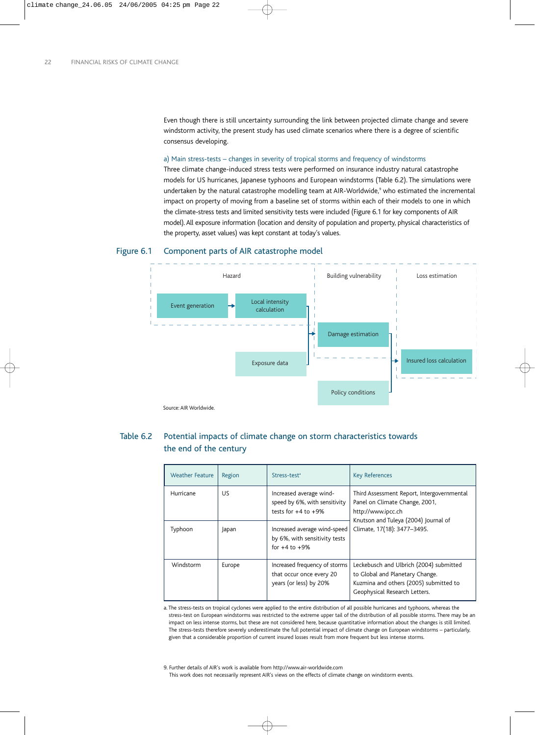Even though there is still uncertainty surrounding the link between projected climate change and severe windstorm activity, the present study has used climate scenarios where there is a degree of scientific consensus developing.

### a) Main stress-tests – changes in severity of tropical storms and frequency of windstorms

Three climate change-induced stress tests were performed on insurance industry natural catastrophe models for US hurricanes, Japanese typhoons and European windstorms (Table 6.2). The simulations were undertaken by the natural catastrophe modelling team at AIR-Worldwide,<sup>9</sup> who estimated the incremental impact on property of moving from a baseline set of storms within each of their models to one in which the climate-stress tests and limited sensitivity tests were included (Figure 6.1 for key components of AIR model). All exposure information (location and density of population and property, physical characteristics of the property, asset values) was kept constant at today's values.

### Figure 6.1 Component parts of AIR catastrophe model



# Table 6.2 Potential impacts of climate change on storm characteristics towards the end of the century

| <b>Weather Feature</b> | Region | Stress-test <sup>a</sup>                                                             | <b>Key References</b>                                                                                                                                 |
|------------------------|--------|--------------------------------------------------------------------------------------|-------------------------------------------------------------------------------------------------------------------------------------------------------|
| Hurricane              | US.    | Increased average wind-<br>speed by 6%, with sensitivity<br>tests for $+4$ to $+9\%$ | Third Assessment Report, Intergovernmental<br>Panel on Climate Change, 2001,<br>http://www.ipcc.ch<br>Knutson and Tuleya (2004) Journal of            |
| Typhoon                | Japan  | Increased average wind-speed<br>by 6%, with sensitivity tests<br>for $+4$ to $+9%$   | Climate, 17(18): 3477-3495.                                                                                                                           |
| Windstorm              | Europe | Increased frequency of storms<br>that occur once every 20<br>years (or less) by 20%  | Leckebusch and Ulbrich (2004) submitted<br>to Global and Planetary Change.<br>Kuzmina and others (2005) submitted to<br>Geophysical Research Letters. |

a. The stress-tests on tropical cyclones were applied to the entire distribution of all possible hurricanes and typhoons, whereas the stress-test on European windstorms was restricted to the extreme upper tail of the distribution of all possible storms. There may be an impact on less intense storms, but these are not considered here, because quantitative information about the changes is still limited. The stress-tests therefore severely underestimate the full potential impact of climate change on European windstorms – particularly, given that a considerable proportion of current insured losses result from more frequent but less intense storms.

<sup>9.</sup> Further details of AIR's work is available from http://www.air-worldwide.com This work does not necessarily represent AIR's views on the effects of climate change on windstorm events.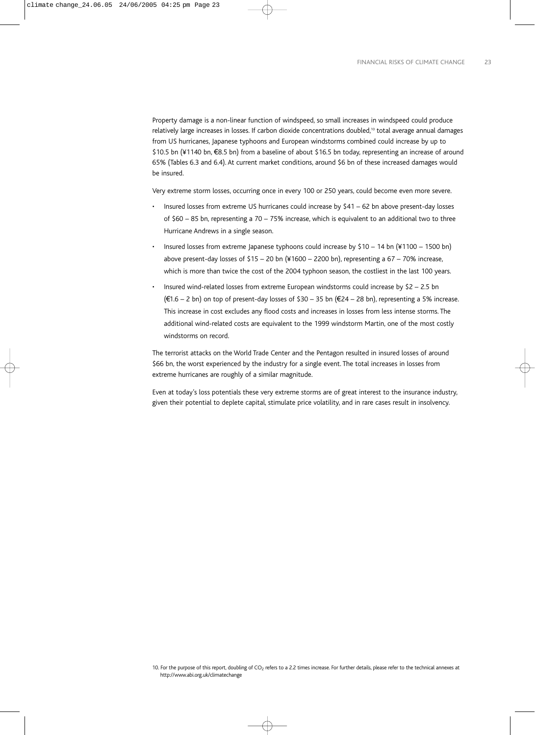Property damage is a non-linear function of windspeed, so small increases in windspeed could produce relatively large increases in losses. If carbon dioxide concentrations doubled,<sup>10</sup> total average annual damages from US hurricanes, Japanese typhoons and European windstorms combined could increase by up to \$10.5 bn (¥1140 bn, €8.5 bn) from a baseline of about \$16.5 bn today, representing an increase of around 65% (Tables 6.3 and 6.4). At current market conditions, around \$6 bn of these increased damages would be insured.

Very extreme storm losses, occurring once in every 100 or 250 years, could become even more severe.

- Insured losses from extreme US hurricanes could increase by \$41 62 bn above present-day losses of \$60 – 85 bn, representing a 70 – 75% increase, which is equivalent to an additional two to three Hurricane Andrews in a single season.
- Insured losses from extreme Japanese typhoons could increase by \$10 14 bn (¥1100 1500 bn) above present-day losses of \$15 – 20 bn (¥1600 – 2200 bn), representing a 67 – 70% increase, which is more than twice the cost of the 2004 typhoon season, the costliest in the last 100 years.
- Insured wind-related losses from extreme European windstorms could increase by \$2 2.5 bn (€1.6 – 2 bn) on top of present-day losses of \$30 – 35 bn (€24 – 28 bn), representing a 5% increase. This increase in cost excludes any flood costs and increases in losses from less intense storms. The additional wind-related costs are equivalent to the 1999 windstorm Martin, one of the most costly windstorms on record.

The terrorist attacks on the World Trade Center and the Pentagon resulted in insured losses of around \$66 bn, the worst experienced by the industry for a single event. The total increases in losses from extreme hurricanes are roughly of a similar magnitude.

Even at today's loss potentials these very extreme storms are of great interest to the insurance industry, given their potential to deplete capital, stimulate price volatility, and in rare cases result in insolvency.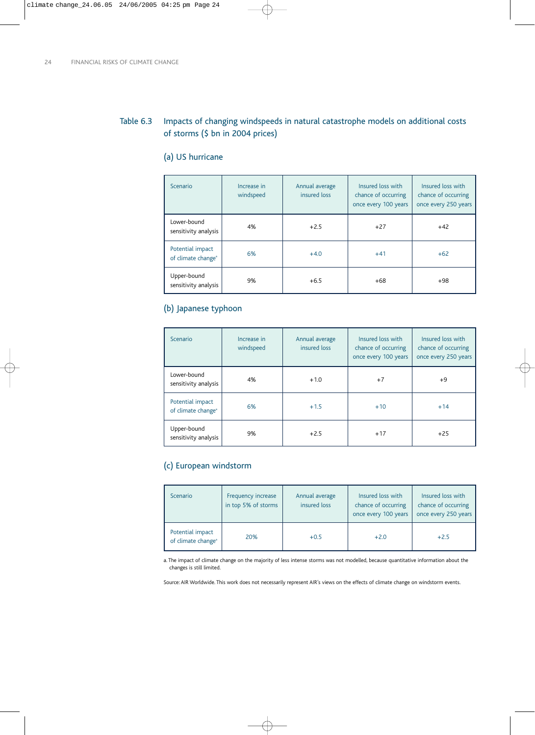# Table 6.3 Impacts of changing windspeeds in natural catastrophe models on additional costs of storms (\$ bn in 2004 prices)

# (a) US hurricane

| Scenario                                           | Increase in<br>windspeed | Annual average<br>insured loss | Insured loss with<br>chance of occurring<br>once every 100 years | Insured loss with<br>chance of occurring<br>once every 250 years |
|----------------------------------------------------|--------------------------|--------------------------------|------------------------------------------------------------------|------------------------------------------------------------------|
| Lower-bound<br>sensitivity analysis                | 4%                       | $+2.5$                         | $+27$                                                            | $+42$                                                            |
| Potential impact<br>of climate change <sup>®</sup> | 6%                       | $+4.0$                         | $+41$                                                            | $+62$                                                            |
| Upper-bound<br>sensitivity analysis                | 9%                       | $+6.5$                         | $+68$                                                            | $+98$                                                            |

# (b) Japanese typhoon

| Scenario                                           | Increase in<br>windspeed | Annual average<br>insured loss | Insured loss with<br>chance of occurring<br>once every 100 years | Insured loss with<br>chance of occurring<br>once every 250 years |
|----------------------------------------------------|--------------------------|--------------------------------|------------------------------------------------------------------|------------------------------------------------------------------|
| Lower-bound<br>sensitivity analysis                | 4%                       | $+1.0$                         | $+7$                                                             | $+9$                                                             |
| Potential impact<br>of climate change <sup>a</sup> | 6%                       | $+1.5$                         | $+10$                                                            | $+14$                                                            |
| Upper-bound<br>sensitivity analysis                | 9%                       | $+2.5$                         | $+17$                                                            | $+25$                                                            |

## (c) European windstorm

| Scenario                                           | Frequency increase<br>in top 5% of storms | Annual average<br>insured loss | Insured loss with<br>chance of occurring<br>once every 100 years | Insured loss with<br>chance of occurring<br>once every 250 years |
|----------------------------------------------------|-------------------------------------------|--------------------------------|------------------------------------------------------------------|------------------------------------------------------------------|
| Potential impact<br>of climate change <sup>®</sup> | 20%                                       | $+0.5$                         | $+2.0$                                                           | $+2.5$                                                           |

a. The impact of climate change on the majority of less intense storms was not modelled, because quantitative information about the changes is still limited.

Source: AIR Worldwide. This work does not necessarily represent AIR's views on the effects of climate change on windstorm events.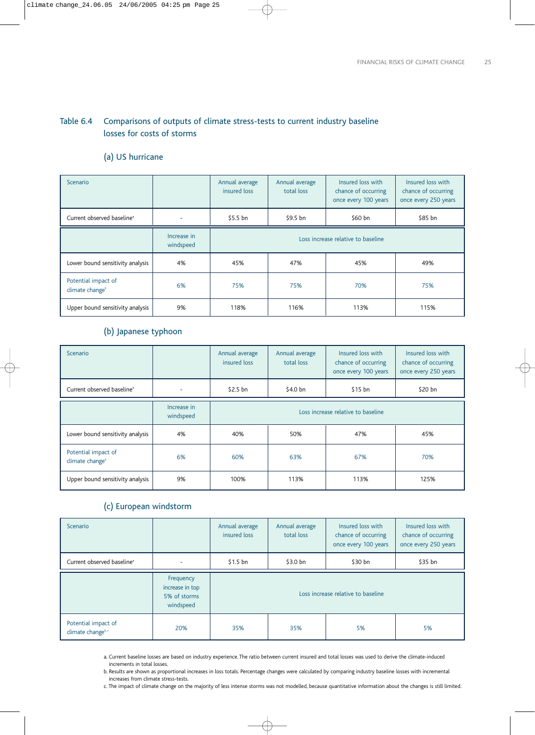# Table 6.4 Comparisons of outputs of climate stress-tests to current industry baseline losses for costs of storms

# (a) US hurricane

| Scenario                                           |                          | Annual average<br>insured loss     | Annual average<br>total loss | Insured loss with<br>chance of occurring<br>once every 100 years | Insured loss with<br>chance of occurring<br>once every 250 years |
|----------------------------------------------------|--------------------------|------------------------------------|------------------------------|------------------------------------------------------------------|------------------------------------------------------------------|
| Current observed baseline <sup>®</sup>             | $\overline{\phantom{a}}$ | \$5.5 bn                           | \$9.5 bn                     | \$60 bn                                                          | \$85 bn                                                          |
|                                                    | Increase in<br>windspeed | Loss increase relative to baseline |                              |                                                                  |                                                                  |
| Lower bound sensitivity analysis                   | 4%                       | 45%                                | 47%                          | 45%                                                              | 49%                                                              |
| Potential impact of<br>climate change <sup>b</sup> | 6%                       | 75%                                | 75%                          | 70%                                                              | 75%                                                              |
| Upper bound sensitivity analysis                   | 9%                       | 118%                               | 116%                         | 113%                                                             | 115%                                                             |

# (b) Japanese typhoon

| Scenario                                           |                          | Annual average<br>insured loss     | Annual average<br>total loss | Insured loss with<br>chance of occurring<br>once every 100 years | Insured loss with<br>chance of occurring<br>once every 250 years |
|----------------------------------------------------|--------------------------|------------------------------------|------------------------------|------------------------------------------------------------------|------------------------------------------------------------------|
| Current observed baseline <sup>®</sup>             | $\overline{\phantom{a}}$ | $$2.5$ bn                          | \$4.0 bn                     | \$15 bh                                                          | \$20 bn                                                          |
|                                                    | Increase in<br>windspeed | Loss increase relative to baseline |                              |                                                                  |                                                                  |
| Lower bound sensitivity analysis                   | 4%                       | 40%                                | 50%                          | 47%                                                              | 45%                                                              |
| Potential impact of<br>climate change <sup>b</sup> | 6%                       | 60%                                | 63%                          | 67%                                                              | 70%                                                              |
| Upper bound sensitivity analysis                   | 9%                       | 100%                               | 113%                         | 113%                                                             | 125%                                                             |

# (c) European windstorm

| Scenario                                  |                                                           | Annual average<br>insured loss | Annual average<br>total loss | Insured loss with<br>chance of occurring<br>once every 100 years | Insured loss with<br>chance of occurring<br>once every 250 years |
|-------------------------------------------|-----------------------------------------------------------|--------------------------------|------------------------------|------------------------------------------------------------------|------------------------------------------------------------------|
| Current observed baseline <sup>a</sup>    | ۰                                                         | \$1.5 <sub>bn</sub>            | \$3.0 bn                     | \$30 bn                                                          | \$35 bn                                                          |
|                                           | Frequency<br>increase in top<br>5% of storms<br>windspeed |                                |                              | Loss increase relative to baseline                               |                                                                  |
| Potential impact of<br>climate changeb, c | 20%                                                       | 35%                            | 35%                          | 5%                                                               | 5%                                                               |

a. Current baseline losses are based on industry experience. The ratio between current insured and total losses was used to derive the climate-induced increments in total losses.

b. Results are shown as proportional increases in loss totals. Percentage changes were calculated by comparing industry baseline losses with incremental increases from climate stress-tests.

c. The impact of climate change on the majority of less intense storms was not modelled, because quantitative information about the changes is still limited.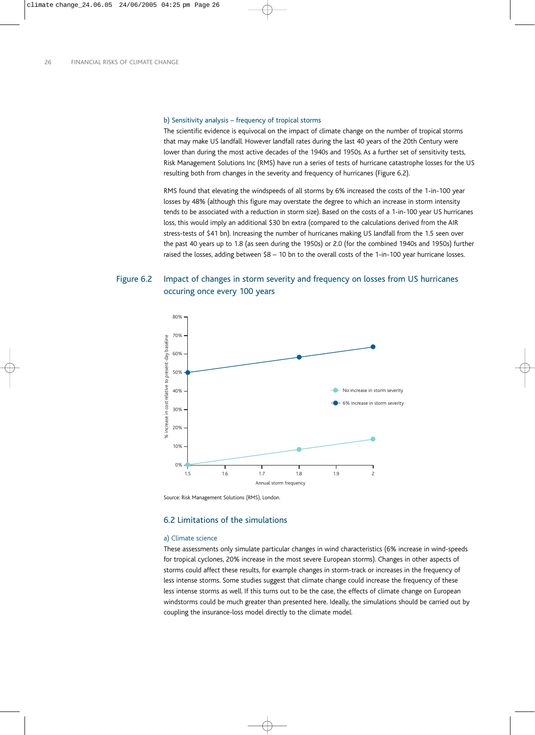#### b) Sensitivity analysis – frequency of tropical storms

The scientific evidence is equivocal on the impact of climate change on the number of tropical storms that may make US landfall. However landfall rates during the last 40 years of the 20th Century were lower than during the most active decades of the 1940s and 1950s. As a further set of sensitivity tests, Risk Management Solutions Inc (RMS) have run a series of tests of hurricane catastrophe losses for the US resulting both from changes in the severity and frequency of hurricanes (Figure 6.2).

RMS found that elevating the windspeeds of all storms by 6% increased the costs of the 1-in-100 year losses by 48% (although this figure may overstate the degree to which an increase in storm intensity tends to be associated with a reduction in storm size). Based on the costs of a 1-in-100 year US hurricanes loss, this would imply an additional \$30 bn extra (compared to the calculations derived from the AIR stress-tests of \$41 bn). Increasing the number of hurricanes making US landfall from the 1.5 seen over the past 40 years up to 1.8 (as seen during the 1950s) or 2.0 (for the combined 1940s and 1950s) further raised the losses, adding between \$8 – 10 bn to the overall costs of the 1-in-100 year hurricane losses.

## Figure 6.2 Impact of changes in storm severity and frequency on losses from US hurricanes occuring once every 100 years



Source: Risk Management Solutions (RMS), London.

### 6.2 Limitations of the simulations

### a) Climate science

These assessments only simulate particular changes in wind characteristics (6% increase in wind-speeds for tropical cyclones, 20% increase in the most severe European storms). Changes in other aspects of storms could affect these results, for example changes in storm-track or increases in the frequency of less intense storms. Some studies suggest that climate change could increase the frequency of these less intense storms as well. If this turns out to be the case, the effects of climate change on European windstorms could be much greater than presented here. Ideally, the simulations should be carried out by coupling the insurance-loss model directly to the climate model.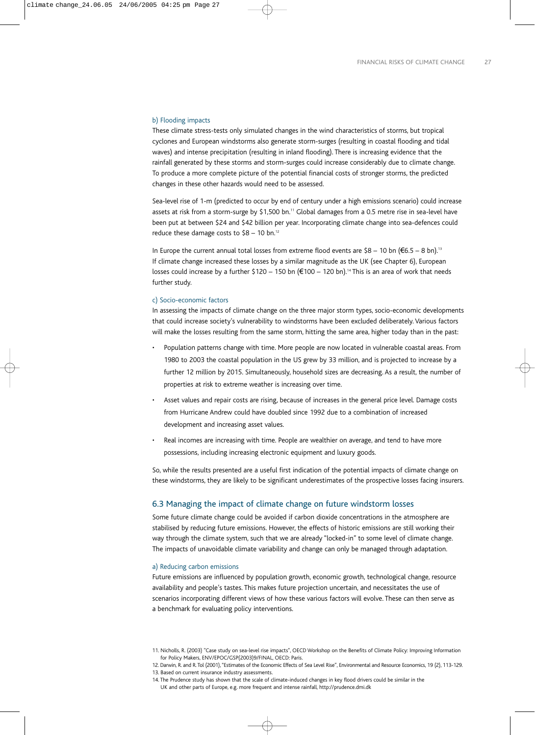#### b) Flooding impacts

These climate stress-tests only simulated changes in the wind characteristics of storms, but tropical cyclones and European windstorms also generate storm-surges (resulting in coastal flooding and tidal waves) and intense precipitation (resulting in inland flooding). There is increasing evidence that the rainfall generated by these storms and storm-surges could increase considerably due to climate change. To produce a more complete picture of the potential financial costs of stronger storms, the predicted changes in these other hazards would need to be assessed.

Sea-level rise of 1-m (predicted to occur by end of century under a high emissions scenario) could increase assets at risk from a storm-surge by \$1,500 bn.<sup>11</sup> Global damages from a 0.5 metre rise in sea-level have been put at between \$24 and \$42 billion per year. Incorporating climate change into sea-defences could reduce these damage costs to  $$8 - 10$  bn.<sup>12</sup>

In Europe the current annual total losses from extreme flood events are \$8 – 10 bn (€6.5 – 8 bn).<sup>13</sup> If climate change increased these losses by a similar magnitude as the UK (see Chapter 6), European losses could increase by a further \$120 – 150 bn (€100 – 120 bn).<sup>14</sup> This is an area of work that needs further study.

#### c) Socio-economic factors

In assessing the impacts of climate change on the three major storm types, socio-economic developments that could increase society's vulnerability to windstorms have been excluded deliberately. Various factors will make the losses resulting from the same storm, hitting the same area, higher today than in the past:

- Population patterns change with time. More people are now located in vulnerable coastal areas. From 1980 to 2003 the coastal population in the US grew by 33 million, and is projected to increase by a further 12 million by 2015. Simultaneously, household sizes are decreasing. As a result, the number of properties at risk to extreme weather is increasing over time.
- Asset values and repair costs are rising, because of increases in the general price level. Damage costs from Hurricane Andrew could have doubled since 1992 due to a combination of increased development and increasing asset values.
- Real incomes are increasing with time. People are wealthier on average, and tend to have more possessions, including increasing electronic equipment and luxury goods.

So, while the results presented are a useful first indication of the potential impacts of climate change on these windstorms, they are likely to be significant underestimates of the prospective losses facing insurers.

### 6.3 Managing the impact of climate change on future windstorm losses

Some future climate change could be avoided if carbon dioxide concentrations in the atmosphere are stabilised by reducing future emissions. However, the effects of historic emissions are still working their way through the climate system, such that we are already "locked-in" to some level of climate change. The impacts of unavoidable climate variability and change can only be managed through adaptation.

#### a) Reducing carbon emissions

Future emissions are influenced by population growth, economic growth, technological change, resource availability and people's tastes. This makes future projection uncertain, and necessitates the use of scenarios incorporating different views of how these various factors will evolve. These can then serve as a benchmark for evaluating policy interventions.

<sup>11.</sup> Nicholls, R. (2003) "Case study on sea-level rise impacts", OECD Workshop on the Benefits of Climate Policy: Improving Information for Policy Makers, ENV/EPOC/GSP(2003)9/FINAL, OECD: Paris.

<sup>12.</sup> Darwin, R. and R. Tol (2001), "Estimates of the Economic Effects of Sea Level Rise", Environmental and Resource Economics, 19 (2), 113-129. 13. Based on current insurance industry assessments.

<sup>14.</sup> The Prudence study has shown that the scale of climate-induced changes in key flood drivers could be similar in the UK and other parts of Europe, e.g. more frequent and intense rainfall, http://prudence.dmi.dk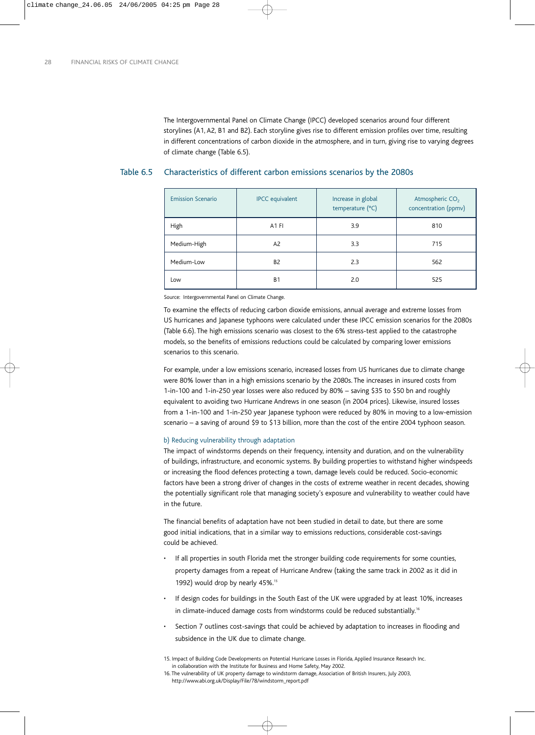The Intergovernmental Panel on Climate Change (IPCC) developed scenarios around four different storylines (A1, A2, B1 and B2). Each storyline gives rise to different emission profiles over time, resulting in different concentrations of carbon dioxide in the atmosphere, and in turn, giving rise to varying degrees of climate change (Table 6.5).

### Table 6.5 Characteristics of different carbon emissions scenarios by the 2080s

| <b>Emission Scenario</b> | <b>IPCC</b> equivalent | Increase in global<br>temperature (°C) | Atmospheric CO <sub>2</sub><br>concentration (ppmv) |
|--------------------------|------------------------|----------------------------------------|-----------------------------------------------------|
| High                     | A <sub>1</sub> FI      | 3.9                                    | 810                                                 |
| Medium-High              | A <sub>2</sub>         | 3.3                                    | 715                                                 |
| Medium-Low               | B <sub>2</sub>         | 2.3                                    | 562                                                 |
| Low                      | <b>B1</b>              | 2.0                                    | 525                                                 |

Source: Intergovernmental Panel on Climate Change.

To examine the effects of reducing carbon dioxide emissions, annual average and extreme losses from US hurricanes and Japanese typhoons were calculated under these IPCC emission scenarios for the 2080s (Table 6.6). The high emissions scenario was closest to the 6% stress-test applied to the catastrophe models, so the benefits of emissions reductions could be calculated by comparing lower emissions scenarios to this scenario.

For example, under a low emissions scenario, increased losses from US hurricanes due to climate change were 80% lower than in a high emissions scenario by the 2080s. The increases in insured costs from 1-in-100 and 1-in-250 year losses were also reduced by 80% – saving \$35 to \$50 bn and roughly equivalent to avoiding two Hurricane Andrews in one season (in 2004 prices). Likewise, insured losses from a 1-in-100 and 1-in-250 year Japanese typhoon were reduced by 80% in moving to a low-emission scenario – a saving of around \$9 to \$13 billion, more than the cost of the entire 2004 typhoon season.

### b) Reducing vulnerability through adaptation

The impact of windstorms depends on their frequency, intensity and duration, and on the vulnerability of buildings, infrastructure, and economic systems. By building properties to withstand higher windspeeds or increasing the flood defences protecting a town, damage levels could be reduced. Socio-economic factors have been a strong driver of changes in the costs of extreme weather in recent decades, showing the potentially significant role that managing society's exposure and vulnerability to weather could have in the future.

The financial benefits of adaptation have not been studied in detail to date, but there are some good initial indications, that in a similar way to emissions reductions, considerable cost-savings could be achieved.

- If all properties in south Florida met the stronger building code requirements for some counties, property damages from a repeat of Hurricane Andrew (taking the same track in 2002 as it did in 1992) would drop by nearly 45%.<sup>15</sup>
- If design codes for buildings in the South East of the UK were upgraded by at least 10%, increases in climate-induced damage costs from windstorms could be reduced substantially.<sup>16</sup>
- Section 7 outlines cost-savings that could be achieved by adaptation to increases in flooding and subsidence in the UK due to climate change.

<sup>15.</sup> Impact of Building Code Developments on Potential Hurricane Losses in Florida, Applied Insurance Research Inc. in collaboration with the Institute for Business and Home Safety, May 2002.

<sup>16.</sup> The vulnerability of UK property damage to windstorm damage, Association of British Insurers, July 2003, http://www.abi.org.uk/Display/File/78/windstorm\_report.pdf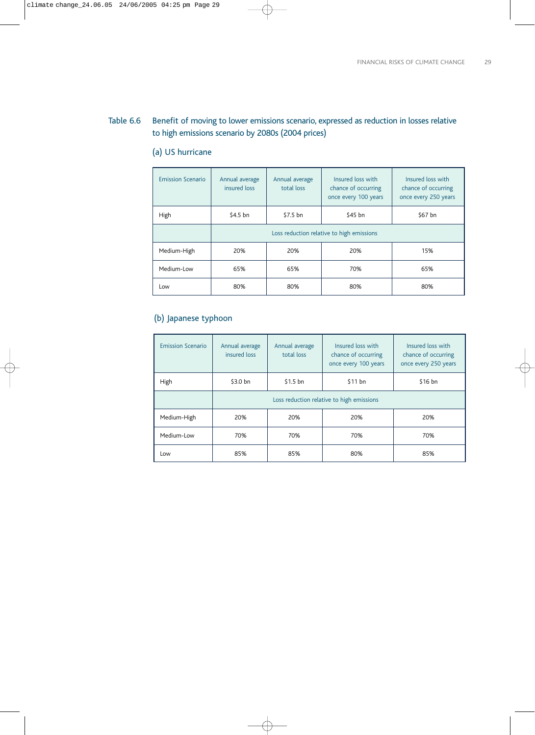# Table 6.6 Benefit of moving to lower emissions scenario, expressed as reduction in losses relative to high emissions scenario by 2080s (2004 prices)

| <b>Emission Scenario</b> | Annual average<br>insured loss            | Annual average<br>total loss | Insured loss with<br>chance of occurring<br>once every 100 years | Insured loss with<br>chance of occurring<br>once every 250 years |
|--------------------------|-------------------------------------------|------------------------------|------------------------------------------------------------------|------------------------------------------------------------------|
| High                     | \$4.5 bn                                  | \$7.5 bn                     | \$45 bn                                                          | \$67 bn                                                          |
|                          | Loss reduction relative to high emissions |                              |                                                                  |                                                                  |
| Medium-High              | 20%                                       | 20%                          | 20%                                                              | 15%                                                              |
| Medium-Low               | 65%                                       | 65%                          | 70%                                                              | 65%                                                              |
| Low                      | 80%                                       | 80%                          | 80%                                                              | 80%                                                              |

# (a) US hurricane

# (b) Japanese typhoon

| <b>Emission Scenario</b> | Annual average<br>insured loss            | Annual average<br>total loss | Insured loss with<br>chance of occurring<br>once every 100 years | Insured loss with<br>chance of occurring<br>once every 250 years |
|--------------------------|-------------------------------------------|------------------------------|------------------------------------------------------------------|------------------------------------------------------------------|
| High                     | \$3.0 bn                                  | \$1.5 <sub>bn</sub>          | \$11 bn                                                          | \$16 bn                                                          |
|                          | Loss reduction relative to high emissions |                              |                                                                  |                                                                  |
| Medium-High              | 20%                                       | 20%                          | 20%                                                              | 20%                                                              |
| Medium-Low               | 70%                                       | 70%                          | 70%                                                              | 70%                                                              |
| Low                      | 85%                                       | 85%                          | 80%                                                              | 85%                                                              |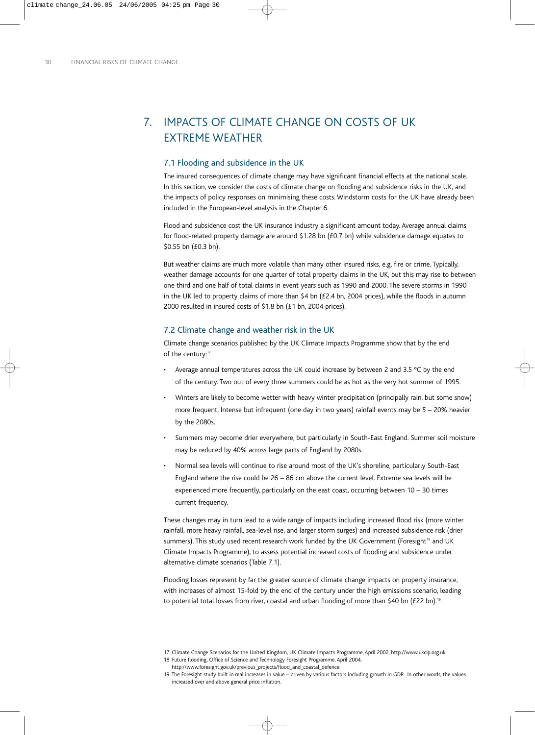### IMPACTS OF CLIMATE CHANGE ON COSTS OF UK EXTREME WEATHER 7.

### 7.1 Flooding and subsidence in the UK

The insured consequences of climate change may have significant financial effects at the national scale. In this section, we consider the costs of climate change on flooding and subsidence risks in the UK, and the impacts of policy responses on minimising these costs. Windstorm costs for the UK have already been included in the European-level analysis in the Chapter 6.

Flood and subsidence cost the UK insurance industry a significant amount today. Average annual claims for flood-related property damage are around \$1.28 bn (£0.7 bn) while subsidence damage equates to \$0.55 bn (£0.3 bn).

But weather claims are much more volatile than many other insured risks, e.g. fire or crime. Typically, weather damage accounts for one quarter of total property claims in the UK, but this may rise to between one third and one half of total claims in event years such as 1990 and 2000. The severe storms in 1990 in the UK led to property claims of more than \$4 bn (£2.4 bn, 2004 prices), while the floods in autumn 2000 resulted in insured costs of \$1.8 bn (£1 bn, 2004 prices).

### 7.2 Climate change and weather risk in the UK

Climate change scenarios published by the UK Climate Impacts Programme show that by the end of the century:<sup>17</sup>

- Average annual temperatures across the UK could increase by between 2 and 3.5  $\degree$ C by the end of the century. Two out of every three summers could be as hot as the very hot summer of 1995.
- Winters are likely to become wetter with heavy winter precipitation (principally rain, but some snow) more frequent. Intense but infrequent (one day in two years) rainfall events may be 5 – 20% heavier by the 2080s.
- Summers may become drier everywhere, but particularly in South-East England. Summer soil moisture may be reduced by 40% across large parts of England by 2080s.
- Normal sea levels will continue to rise around most of the UK's shoreline, particularly South-East England where the rise could be 26 – 86 cm above the current level. Extreme sea levels will be experienced more frequently, particularly on the east coast, occurring between 10 – 30 times current frequency.

These changes may in turn lead to a wide range of impacts including increased flood risk (more winter rainfall, more heavy rainfall, sea-level rise, and larger storm surges) and increased subsidence risk (drier summers). This study used recent research work funded by the UK Government (Foresight<sup>18</sup> and UK Climate Impacts Programme), to assess potential increased costs of flooding and subsidence under alternative climate scenarios (Table 7.1).

Flooding losses represent by far the greater source of climate change impacts on property insurance, with increases of almost 15-fold by the end of the century under the high emissions scenario, leading to potential total losses from river, coastal and urban flooding of more than \$40 bn (£22 bn).<sup>19</sup>

<sup>17.</sup> Climate Change Scenarios for the United Kingdom, UK Climate Impacts Programme, April 2002, http://www.ukcip.org.uk

<sup>18.</sup> Future flooding, Office of Science and Technology Foresight Programme, April 2004, http://www.foresight.gov.uk/previous\_projects/flood\_and\_coastal\_defence

<sup>19.</sup> The Foresight study built in real increases in value – driven by various factors including growth in GDP. In other words, the values increased over and above general price inflation.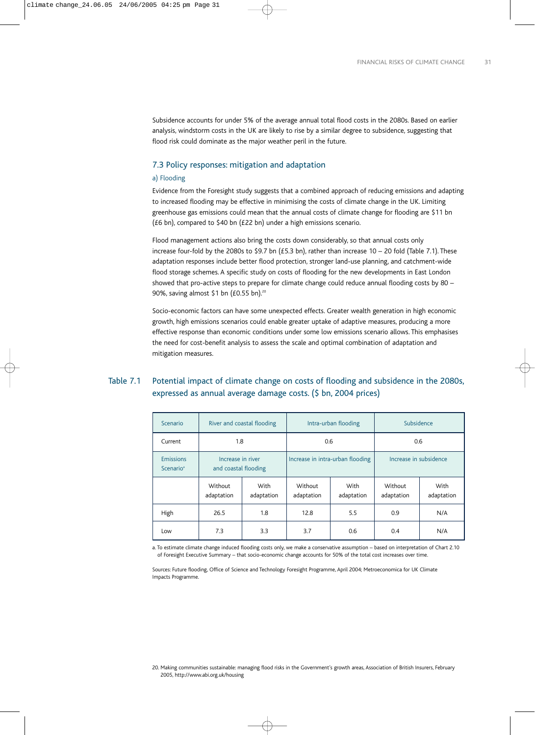Subsidence accounts for under 5% of the average annual total flood costs in the 2080s. Based on earlier analysis, windstorm costs in the UK are likely to rise by a similar degree to subsidence, suggesting that flood risk could dominate as the major weather peril in the future.

### 7.3 Policy responses: mitigation and adaptation

#### a) Flooding

Evidence from the Foresight study suggests that a combined approach of reducing emissions and adapting to increased flooding may be effective in minimising the costs of climate change in the UK. Limiting greenhouse gas emissions could mean that the annual costs of climate change for flooding are \$11 bn (£6 bn), compared to \$40 bn (£22 bn) under a high emissions scenario.

Flood management actions also bring the costs down considerably, so that annual costs only increase four-fold by the 2080s to \$9.7 bn (£5.3 bn), rather than increase 10 – 20 fold (Table 7.1). These adaptation responses include better flood protection, stronger land-use planning, and catchment-wide flood storage schemes. A specific study on costs of flooding for the new developments in East London showed that pro-active steps to prepare for climate change could reduce annual flooding costs by 80 – 90%, saving almost \$1 bn ( $£0.55$  bn).<sup>20</sup>

Socio-economic factors can have some unexpected effects. Greater wealth generation in high economic growth, high emissions scenarios could enable greater uptake of adaptive measures, producing a more effective response than economic conditions under some low emissions scenario allows. This emphasises the need for cost-benefit analysis to assess the scale and optimal combination of adaptation and mitigation measures.

# Table 7.1 Potential impact of climate change on costs of flooding and subsidence in the 2080s, expressed as annual average damage costs. (\$ bn, 2004 prices)

| Scenario                                 | River and coastal flooding                |                    | Intra-urban flooding             |                    | Subsidence             |                    |
|------------------------------------------|-------------------------------------------|--------------------|----------------------------------|--------------------|------------------------|--------------------|
| Current                                  | 1.8                                       |                    | 0.6                              |                    | 0.6                    |                    |
| Emissions<br><b>Scenario<sup>ª</sup></b> | Increase in river<br>and coastal flooding |                    | Increase in intra-urban flooding |                    | Increase in subsidence |                    |
|                                          | Without<br>adaptation                     | With<br>adaptation | Without<br>adaptation            | With<br>adaptation | Without<br>adaptation  | With<br>adaptation |
| High                                     | 26.5                                      | 1.8                | 12.8                             | 5.5                | 0.9                    | N/A                |
| Low                                      | 7.3                                       | 3.3                | 3.7                              | 0.6                | 0.4                    | N/A                |

a. To estimate climate change induced flooding costs only, we make a conservative assumption – based on interpretation of Chart 2.10 of Foresight Executive Summary – that socio-economic change accounts for 50% of the total cost increases over time.

Sources: Future flooding, Office of Science and Technology Foresight Programme, April 2004; Metroeconomica for UK Climate Impacts Programme.

<sup>20.</sup> Making communities sustainable: managing flood risks in the Government's growth areas, Association of British Insurers, February 2005, http://www.abi.org.uk/housing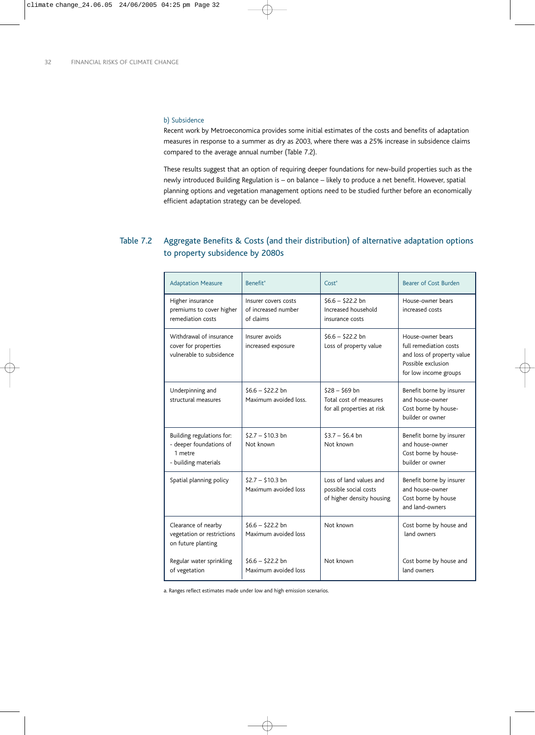#### b) Subsidence

Recent work by Metroeconomica provides some initial estimates of the costs and benefits of adaptation measures in response to a summer as dry as 2003, where there was a 25% increase in subsidence claims compared to the average annual number (Table 7.2).

These results suggest that an option of requiring deeper foundations for new-build properties such as the newly introduced Building Regulation is – on balance – likely to produce a net benefit. However, spatial planning options and vegetation management options need to be studied further before an economically efficient adaptation strategy can be developed.

# Table 7.2 Aggregate Benefits & Costs (and their distribution) of alternative adaptation options to property subsidence by 2080s

| <b>Adaptation Measure</b>                                                               | <b>Benefit<sup>ª</sup></b>                               | Cost <sup>a</sup>                                                             | Bearer of Cost Burden                                                                                                    |
|-----------------------------------------------------------------------------------------|----------------------------------------------------------|-------------------------------------------------------------------------------|--------------------------------------------------------------------------------------------------------------------------|
| Higher insurance<br>premiums to cover higher<br>remediation costs                       | Insurer covers costs<br>of increased number<br>of claims | $$6.6 - $22.2$ bn<br>Increased household<br>insurance costs                   | House-owner bears<br>increased costs                                                                                     |
| Withdrawal of insurance<br>cover for properties<br>vulnerable to subsidence             | Insurer avoids<br>increased exposure                     | $$6.6 - $22.2$ bn<br>Loss of property value                                   | House-owner bears<br>full remediation costs<br>and loss of property value<br>Possible exclusion<br>for low income groups |
| Underpinning and<br>structural measures                                                 | $$6.6 - $22.2$ bn<br>Maximum avoided loss.               | $$28 - $69$ bn<br>Total cost of measures<br>for all properties at risk        | Benefit borne by insurer<br>and house-owner<br>Cost borne by house-<br>builder or owner                                  |
| Building regulations for:<br>- deeper foundations of<br>1 metre<br>- building materials | $$2.7 - $10.3$ bn<br>Not known                           | $$3.7 - $6.4$ bn<br>Not known                                                 | Benefit borne by insurer<br>and house-owner<br>Cost borne by house-<br>builder or owner                                  |
| Spatial planning policy                                                                 | $$2.7 - $10.3$ bn<br>Maximum avoided loss                | Loss of land values and<br>possible social costs<br>of higher density housing | Benefit borne by insurer<br>and house-owner<br>Cost borne by house<br>and land-owners                                    |
| Clearance of nearby<br>vegetation or restrictions<br>on future planting                 | $$6.6 - $22.2$ bn<br>Maximum avoided loss                | Not known                                                                     | Cost borne by house and<br>land owners                                                                                   |
| Regular water sprinkling<br>of vegetation                                               | $$6.6 - $22.2$ bn<br>Maximum avoided loss                | Not known                                                                     | Cost borne by house and<br>land owners                                                                                   |

a. Ranges reflect estimates made under low and high emission scenarios.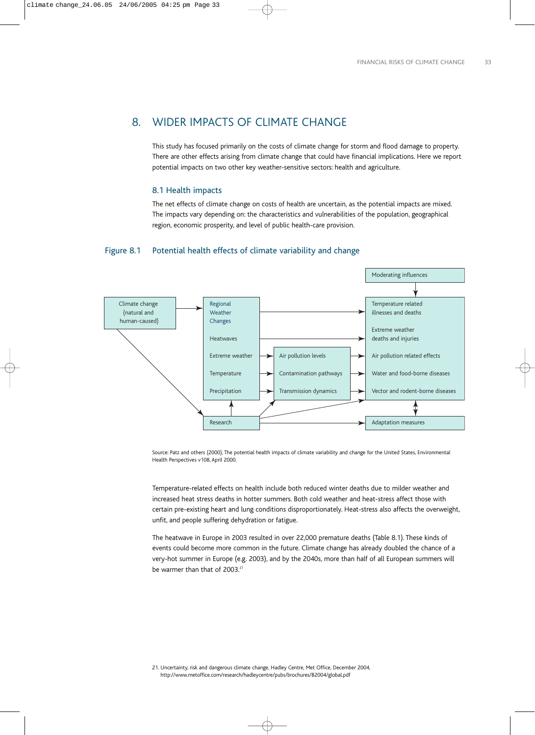#### WIDER IMPACTS OF CLIMATE CHANGE 8.

This study has focused primarily on the costs of climate change for storm and flood damage to property. There are other effects arising from climate change that could have financial implications. Here we report potential impacts on two other key weather-sensitive sectors: health and agriculture.

### 8.1 Health impacts

The net effects of climate change on costs of health are uncertain, as the potential impacts are mixed. The impacts vary depending on: the characteristics and vulnerabilities of the population, geographical region, economic prosperity, and level of public health-care provision.

### Figure 8.1 Potential health effects of climate variability and change



Source: Patz and others (2000), The potential health impacts of climate variability and change for the United States, Environmental Health Perspectives v108, April 2000.

Temperature-related effects on health include both reduced winter deaths due to milder weather and increased heat stress deaths in hotter summers. Both cold weather and heat-stress affect those with certain pre-existing heart and lung conditions disproportionately. Heat-stress also affects the overweight, unfit, and people suffering dehydration or fatigue.

The heatwave in Europe in 2003 resulted in over 22,000 premature deaths (Table 8.1). These kinds of events could become more common in the future. Climate change has already doubled the chance of a very-hot summer in Europe (e.g. 2003), and by the 2040s, more than half of all European summers will be warmer than that of 2003.<sup>21</sup>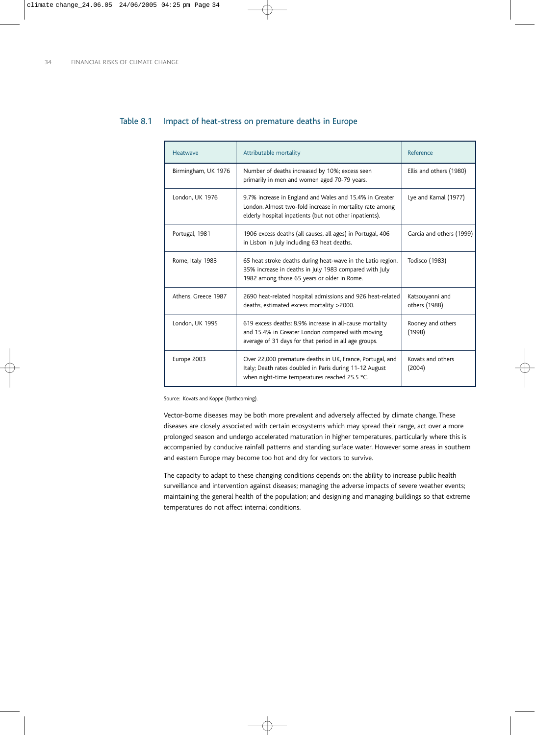| Heatwave            | Attributable mortality                                                                                                                                                         | Reference                        |
|---------------------|--------------------------------------------------------------------------------------------------------------------------------------------------------------------------------|----------------------------------|
| Birmingham, UK 1976 | Number of deaths increased by 10%; excess seen<br>primarily in men and women aged 70-79 years.                                                                                 | Ellis and others (1980)          |
| London, UK 1976     | 9.7% increase in England and Wales and 15.4% in Greater<br>London. Almost two-fold increase in mortality rate among<br>elderly hospital inpatients (but not other inpatients). | Lye and Kamal (1977)             |
| Portugal, 1981      | 1906 excess deaths (all causes, all ages) in Portugal, 406<br>in Lisbon in July including 63 heat deaths.                                                                      | Garcia and others (1999)         |
| Rome, Italy 1983    | 65 heat stroke deaths during heat-wave in the Latio region.<br>35% increase in deaths in July 1983 compared with July<br>1982 among those 65 years or older in Rome.           | Todisco (1983)                   |
| Athens, Greece 1987 | 2690 heat-related hospital admissions and 926 heat-related<br>deaths, estimated excess mortality >2000.                                                                        | Katsouyanni and<br>others (1988) |
| London, UK 1995     | 619 excess deaths: 8.9% increase in all-cause mortality<br>and 15.4% in Greater London compared with moving<br>average of 31 days for that period in all age groups.           | Rooney and others<br>(1998)      |
| Europe 2003         | Over 22,000 premature deaths in UK, France, Portugal, and<br>Italy; Death rates doubled in Paris during 11-12 August<br>when night-time temperatures reached 25.5 °C.          | Kovats and others<br>(2004)      |

### Table 8.1 Impact of heat-stress on premature deaths in Europe

Source: Kovats and Koppe (forthcoming).

Vector-borne diseases may be both more prevalent and adversely affected by climate change. These diseases are closely associated with certain ecosystems which may spread their range, act over a more prolonged season and undergo accelerated maturation in higher temperatures, particularly where this is accompanied by conducive rainfall patterns and standing surface water. However some areas in southern and eastern Europe may become too hot and dry for vectors to survive.

The capacity to adapt to these changing conditions depends on: the ability to increase public health surveillance and intervention against diseases; managing the adverse impacts of severe weather events; maintaining the general health of the population; and designing and managing buildings so that extreme temperatures do not affect internal conditions.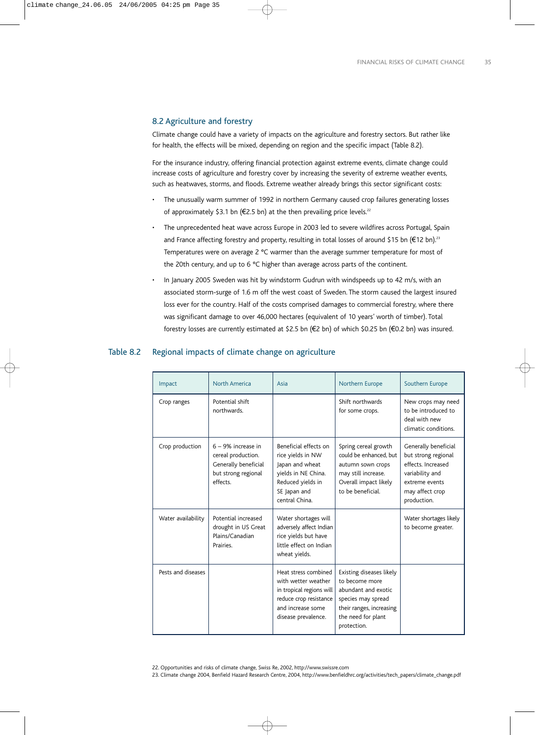### 8.2 Agriculture and forestry

Climate change could have a variety of impacts on the agriculture and forestry sectors. But rather like for health, the effects will be mixed, depending on region and the specific impact (Table 8.2).

For the insurance industry, offering financial protection against extreme events, climate change could increase costs of agriculture and forestry cover by increasing the severity of extreme weather events, such as heatwaves, storms, and floods. Extreme weather already brings this sector significant costs:

- The unusually warm summer of 1992 in northern Germany caused crop failures generating losses of approximately \$3.1 bn ( $\epsilon$ 2.5 bn) at the then prevailing price levels.<sup>22</sup>
- The unprecedented heat wave across Europe in 2003 led to severe wildfires across Portugal, Spain and France affecting forestry and property, resulting in total losses of around \$15 bn (€12 bn).<sup>23</sup> Temperatures were on average 2 °C warmer than the average summer temperature for most of the 20th century, and up to 6 °C higher than average across parts of the continent.
- In January 2005 Sweden was hit by windstorm Gudrun with windspeeds up to 42 m/s, with an associated storm-surge of 1.6 m off the west coast of Sweden. The storm caused the largest insured loss ever for the country. Half of the costs comprised damages to commercial forestry, where there was significant damage to over 46,000 hectares (equivalent of 10 years' worth of timber). Total forestry losses are currently estimated at \$2.5 bn (€2 bn) of which \$0.25 bn (€0.2 bn) was insured.

| Impact             | <b>North America</b>                                                                                   | Asia                                                                                                                                          | Northern Europe                                                                                                                                          | Southern Europe                                                                                                                          |
|--------------------|--------------------------------------------------------------------------------------------------------|-----------------------------------------------------------------------------------------------------------------------------------------------|----------------------------------------------------------------------------------------------------------------------------------------------------------|------------------------------------------------------------------------------------------------------------------------------------------|
| Crop ranges        | Potential shift<br>northwards.                                                                         |                                                                                                                                               | Shift northwards<br>for some crops.                                                                                                                      | New crops may need<br>to be introduced to<br>deal with new<br>climatic conditions.                                                       |
| Crop production    | $6 - 9\%$ increase in<br>cereal production.<br>Generally beneficial<br>but strong regional<br>effects. | Beneficial effects on<br>rice yields in NW<br>Japan and wheat<br>vields in NE China.<br>Reduced yields in<br>SE Japan and<br>central China.   | Spring cereal growth<br>could be enhanced, but<br>autumn sown crops<br>may still increase.<br>Overall impact likely<br>to be beneficial.                 | Generally beneficial<br>but strong regional<br>effects. Increased<br>variability and<br>extreme events<br>may affect crop<br>production. |
| Water availability | Potential increased<br>drought in US Great<br>Plains/Canadian<br>Prairies.                             | Water shortages will<br>adversely affect Indian<br>rice yields but have<br>little effect on Indian<br>wheat yields.                           |                                                                                                                                                          | Water shortages likely<br>to become greater.                                                                                             |
| Pests and diseases |                                                                                                        | Heat stress combined<br>with wetter weather<br>in tropical regions will<br>reduce crop resistance<br>and increase some<br>disease prevalence. | Existing diseases likely<br>to become more<br>abundant and exotic<br>species may spread<br>their ranges, increasing<br>the need for plant<br>protection. |                                                                                                                                          |

### Table 8.2 Regional impacts of climate change on agriculture

22. Opportunities and risks of climate change, Swiss Re, 2002, http://www.swissre.com

23. Climate change 2004, Benfield Hazard Research Centre, 2004, http://www.benfieldhrc.org/activities/tech\_papers/climate\_change.pdf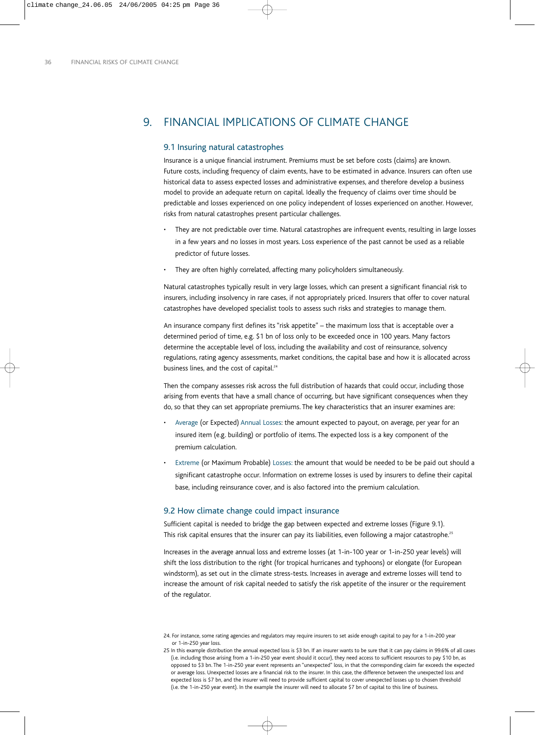#### FINANCIAL IMPLICATIONS OF CLIMATE CHANGE 9.

### 9.1 Insuring natural catastrophes

Insurance is a unique financial instrument. Premiums must be set before costs (claims) are known. Future costs, including frequency of claim events, have to be estimated in advance. Insurers can often use historical data to assess expected losses and administrative expenses, and therefore develop a business model to provide an adequate return on capital. Ideally the frequency of claims over time should be predictable and losses experienced on one policy independent of losses experienced on another. However, risks from natural catastrophes present particular challenges.

- They are not predictable over time. Natural catastrophes are infrequent events, resulting in large losses in a few years and no losses in most years. Loss experience of the past cannot be used as a reliable predictor of future losses.
- They are often highly correlated, affecting many policyholders simultaneously.

Natural catastrophes typically result in very large losses, which can present a significant financial risk to insurers, including insolvency in rare cases, if not appropriately priced. Insurers that offer to cover natural catastrophes have developed specialist tools to assess such risks and strategies to manage them.

An insurance company first defines its "risk appetite" – the maximum loss that is acceptable over a determined period of time, e.g. \$1 bn of loss only to be exceeded once in 100 years. Many factors determine the acceptable level of loss, including the availability and cost of reinsurance, solvency regulations, rating agency assessments, market conditions, the capital base and how it is allocated across business lines, and the cost of capital.<sup>24</sup>

Then the company assesses risk across the full distribution of hazards that could occur, including those arising from events that have a small chance of occurring, but have significant consequences when they do, so that they can set appropriate premiums. The key characteristics that an insurer examines are:

- Average (or Expected) Annual Losses: the amount expected to payout, on average, per year for an insured item (e.g. building) or portfolio of items. The expected loss is a key component of the premium calculation.
- Extreme (or Maximum Probable) Losses: the amount that would be needed to be be paid out should a significant catastrophe occur. Information on extreme losses is used by insurers to define their capital base, including reinsurance cover, and is also factored into the premium calculation.

### 9.2 How climate change could impact insurance

Sufficient capital is needed to bridge the gap between expected and extreme losses (Figure 9.1). This risk capital ensures that the insurer can pay its liabilities, even following a major catastrophe.<sup>25</sup>

Increases in the average annual loss and extreme losses (at 1-in-100 year or 1-in-250 year levels) will shift the loss distribution to the right (for tropical hurricanes and typhoons) or elongate (for European windstorm), as set out in the climate stress-tests. Increases in average and extreme losses will tend to increase the amount of risk capital needed to satisfy the risk appetite of the insurer or the requirement of the regulator.

<sup>24.</sup> For instance, some rating agencies and regulators may require insurers to set aside enough capital to pay for a 1-in-200 year or 1-in-250 year loss.

<sup>25</sup> In this example distribution the annual expected loss is \$3 bn. If an insurer wants to be sure that it can pay claims in 99.6% of all cases (i.e. including those arising from a 1-in-250 year event should it occur), they need access to sufficient resources to pay \$10 bn, as opposed to \$3 bn. The 1-in-250 year event represents an "unexpected" loss, in that the corresponding claim far exceeds the expected or average loss. Unexpected losses are a financial risk to the insurer. In this case, the difference between the unexpected loss and expected loss is \$7 bn, and the insurer will need to provide sufficient capital to cover unexpected losses up to chosen threshold (i.e. the 1-in-250 year event). In the example the insurer will need to allocate \$7 bn of capital to this line of business.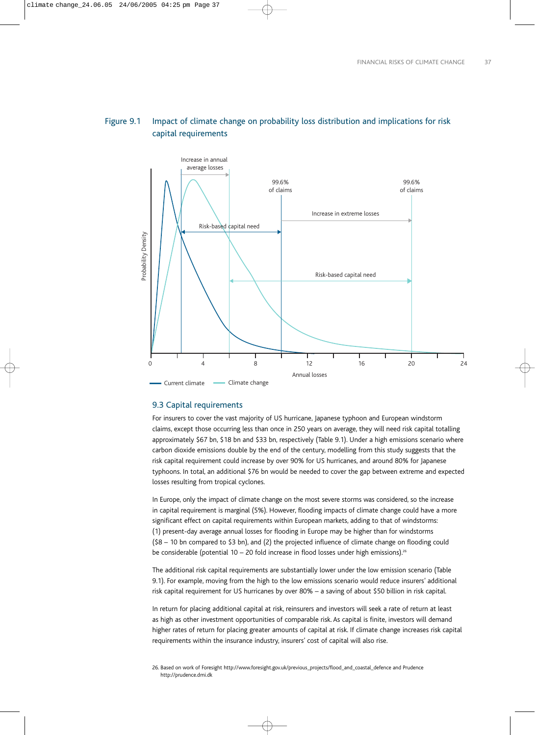

## Figure 9.1 Impact of climate change on probability loss distribution and implications for risk capital requirements

### 9.3 Capital requirements

For insurers to cover the vast majority of US hurricane, Japanese typhoon and European windstorm claims, except those occurring less than once in 250 years on average, they will need risk capital totalling approximately \$67 bn, \$18 bn and \$33 bn, respectively (Table 9.1). Under a high emissions scenario where carbon dioxide emissions double by the end of the century, modelling from this study suggests that the risk capital requirement could increase by over 90% for US hurricanes, and around 80% for Japanese typhoons. In total, an additional \$76 bn would be needed to cover the gap between extreme and expected losses resulting from tropical cyclones.

In Europe, only the impact of climate change on the most severe storms was considered, so the increase in capital requirement is marginal (5%). However, flooding impacts of climate change could have a more significant effect on capital requirements within European markets, adding to that of windstorms: (1) present-day average annual losses for flooding in Europe may be higher than for windstorms (\$8 – 10 bn compared to \$3 bn), and (2) the projected influence of climate change on flooding could be considerable (potential 10 – 20 fold increase in flood losses under high emissions).<sup>26</sup>

The additional risk capital requirements are substantially lower under the low emission scenario (Table 9.1). For example, moving from the high to the low emissions scenario would reduce insurers' additional risk capital requirement for US hurricanes by over 80% – a saving of about \$50 billion in risk capital.

In return for placing additional capital at risk, reinsurers and investors will seek a rate of return at least as high as other investment opportunities of comparable risk. As capital is finite, investors will demand higher rates of return for placing greater amounts of capital at risk. If climate change increases risk capital requirements within the insurance industry, insurers' cost of capital will also rise.

26. Based on work of Foresight http://www.foresight.gov.uk/previous\_projects/flood\_and\_coastal\_defence and Prudence http://prudence.dmi.dk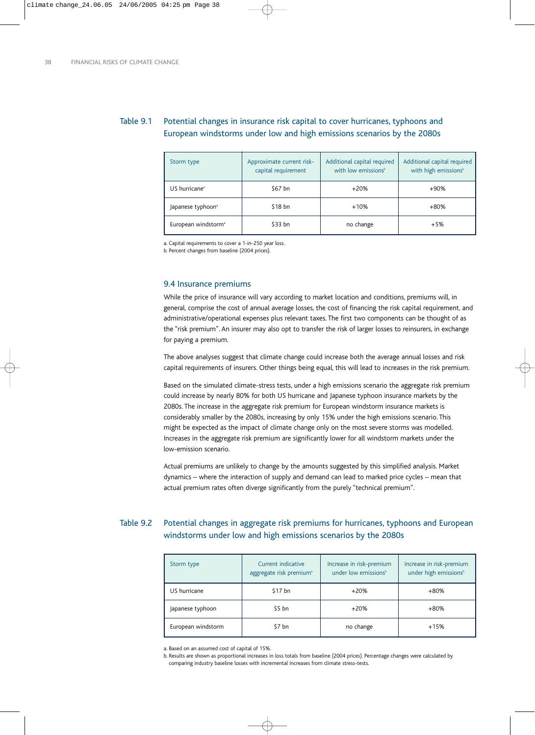## Table 9.1 Potential changes in insurance risk capital to cover hurricanes, typhoons and European windstorms under low and high emissions scenarios by the 2080s

| Storm type                      | Approximate current risk-<br>capital requirement | Additional capital required<br>with low emissions <sup>b</sup> | Additional capital required<br>with high emissions <sup>b</sup> |
|---------------------------------|--------------------------------------------------|----------------------------------------------------------------|-----------------------------------------------------------------|
| US hurricane <sup>®</sup>       | \$67 bn                                          | $+20%$                                                         | +90%                                                            |
| Japanese typhoon <sup>ª</sup>   | \$18 bn                                          | $+10%$                                                         | +80%                                                            |
| European windstorm <sup>ª</sup> | \$33 bn                                          | no change                                                      | +5%                                                             |

a. Capital requirements to cover a 1-in-250 year loss.

b. Percent changes from baseline (2004 prices).

#### 9.4 Insurance premiums

While the price of insurance will vary according to market location and conditions, premiums will, in general, comprise the cost of annual average losses, the cost of financing the risk capital requirement, and administrative/operational expenses plus relevant taxes. The first two components can be thought of as the "risk premium". An insurer may also opt to transfer the risk of larger losses to reinsurers, in exchange for paying a premium.

The above analyses suggest that climate change could increase both the average annual losses and risk capital requirements of insurers. Other things being equal, this will lead to increases in the risk premium.

Based on the simulated climate-stress tests, under a high emissions scenario the aggregate risk premium could increase by nearly 80% for both US hurricane and Japanese typhoon insurance markets by the 2080s. The increase in the aggregate risk premium for European windstorm insurance markets is considerably smaller by the 2080s, increasing by only 15% under the high emissions scenario. This might be expected as the impact of climate change only on the most severe storms was modelled. Increases in the aggregate risk premium are significantly lower for all windstorm markets under the low-emission scenario.

Actual premiums are unlikely to change by the amounts suggested by this simplified analysis. Market dynamics – where the interaction of supply and demand can lead to marked price cycles – mean that actual premium rates often diverge significantly from the purely "technical premium".

## Table 9.2 Potential changes in aggregate risk premiums for hurricanes, typhoons and European windstorms under low and high emissions scenarios by the 2080s

| Storm type         | Current indicative<br>aggregate risk premium <sup>a</sup> | Increase in risk-premium<br>under low emissions <sup>b</sup> | Increase in risk-premium<br>under high emissions <sup>b</sup> |
|--------------------|-----------------------------------------------------------|--------------------------------------------------------------|---------------------------------------------------------------|
| US hurricane       | \$17 bn                                                   | $+20%$                                                       | +80%                                                          |
| Japanese typhoon   | \$5 bn                                                    | $+20%$                                                       | +80%                                                          |
| European windstorm | \$7 bn                                                    | no change                                                    | $+15%$                                                        |

a. Based on an assumed cost of capital of 15%.

b. Results are shown as proportional increases in loss totals from baseline (2004 prices). Percentage changes were calculated by comparing industry baseline losses with incremental increases from climate stress-tests.